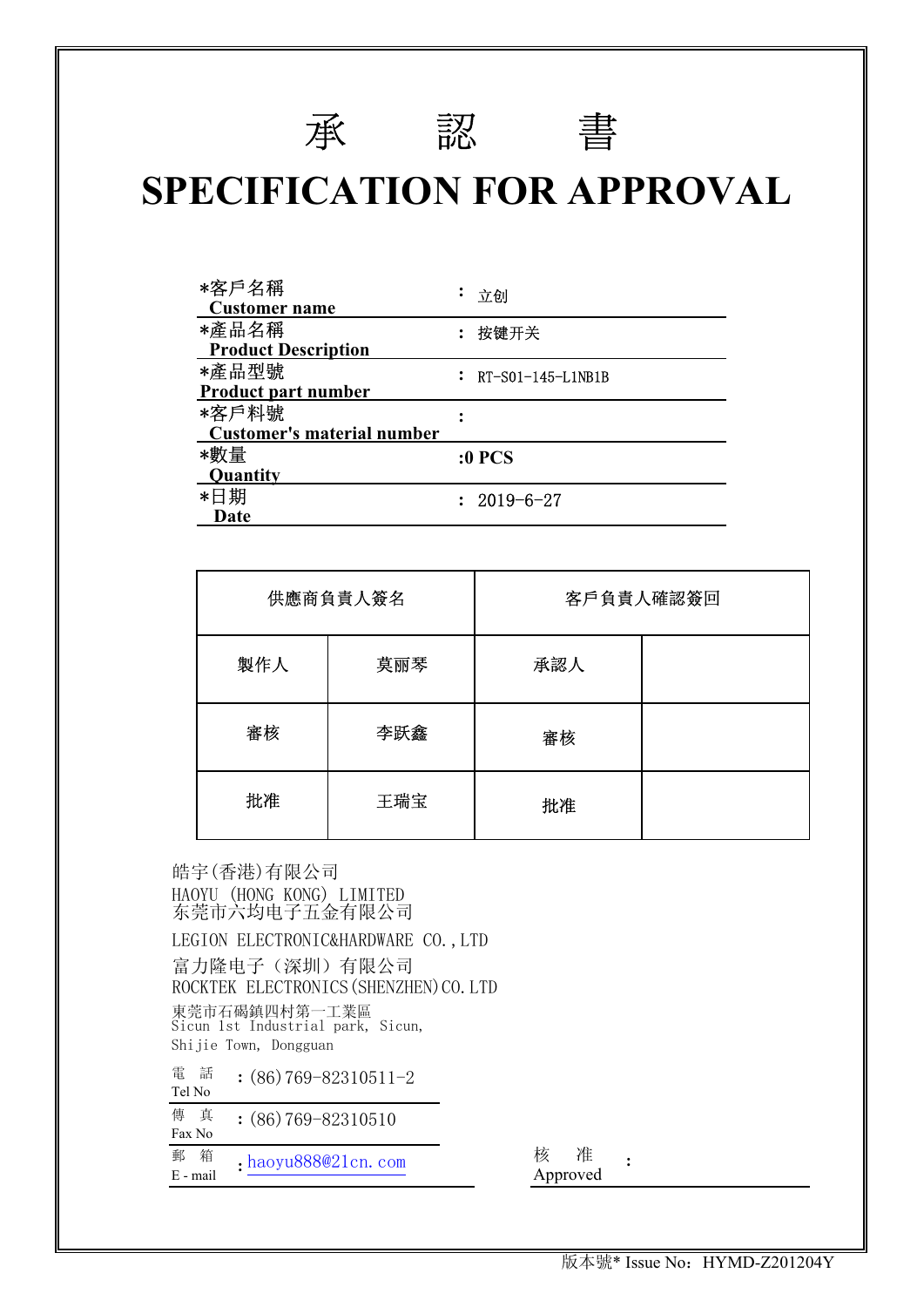# 承 認 書

## **SPECIFICATION FOR APPROVAL**

| *客戶名稱<br><b>Customer name</b>     | 立创                    |
|-----------------------------------|-----------------------|
| *產品名稱                             | 按键开关                  |
| <b>Product Description</b>        |                       |
| *產品型號                             | $: RT-S01-145-L1NB1B$ |
| <b>Product part number</b>        |                       |
| *客戶料號                             |                       |
| <b>Customer's material number</b> |                       |
| *數量                               | <b>:0 PCS</b>         |
| <b>Quantity</b>                   |                       |
| *日期                               | $: 2019 - 6 - 27$     |
| Date                              |                       |

|     | 供應商負責人簽名 | 客戶負責人確認簽回 |  |
|-----|----------|-----------|--|
| 製作人 | 莫丽琴      | 承認人       |  |
| 審核  | 李跃鑫      | 審核        |  |
| 批准  | 王瑞宝      | 批准        |  |

皓宇 (香港) 有限公司 HAOYU (HONG KONG) LIMITED LEGION ELECTRONIC&HARDWARE CO., LTD 富力隆电子(深圳)有限公司 ROCKTEK ELECTRONICS (SHENZHEN) CO. LTD 東莞市石碣鎮四村第一工業區 電 話 Tel No 傳 真 Fax No 郵 箱 ,haovu888@21.cn\_com 核 准 <sup>野 相</sup> :haoyu888@21cn.com <br>E - mail Approved **: :** Shijie Town, Dongguan Sicun 1st Industrial park, Sicun, 东莞市六均电子五金有限公司

**:**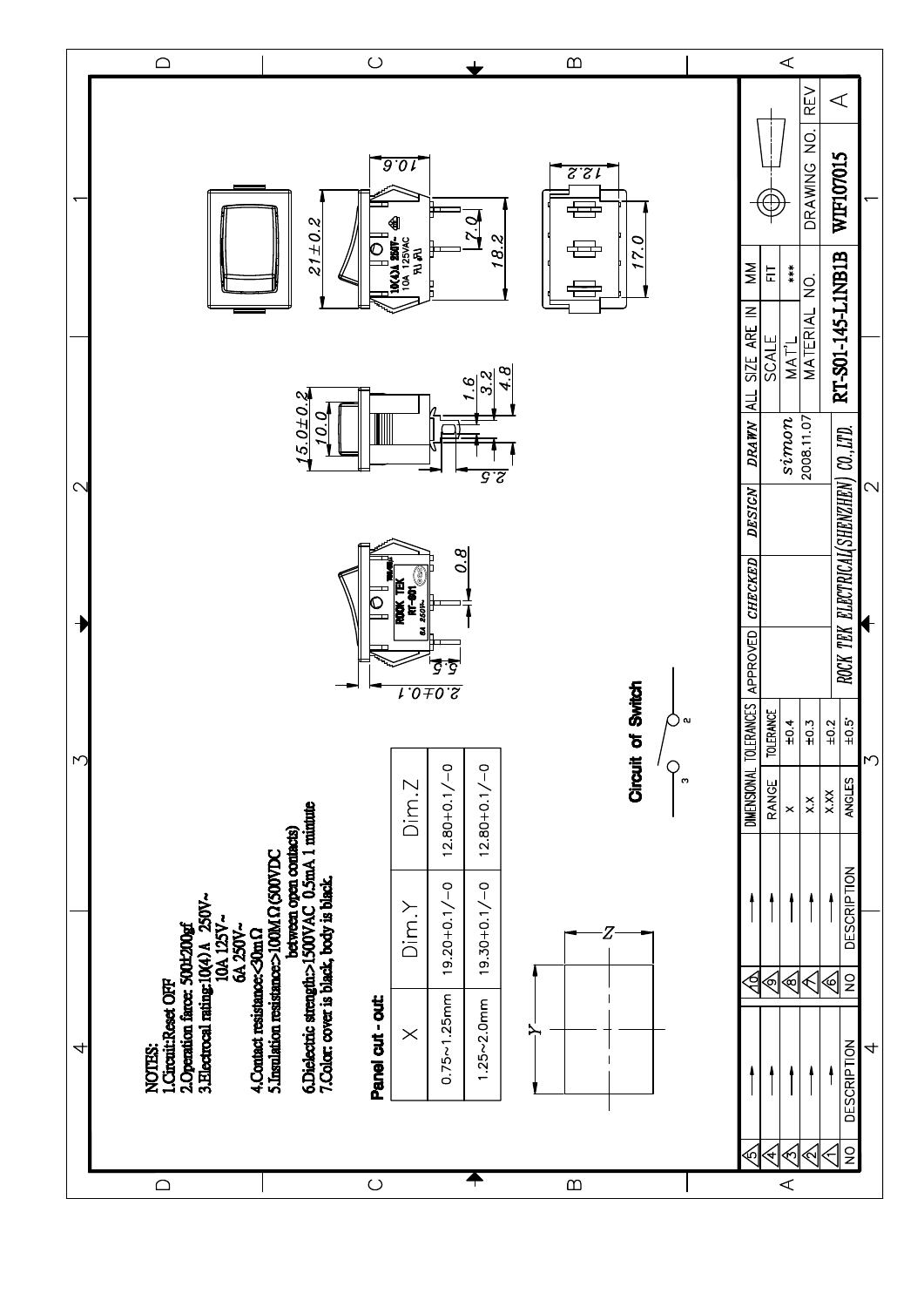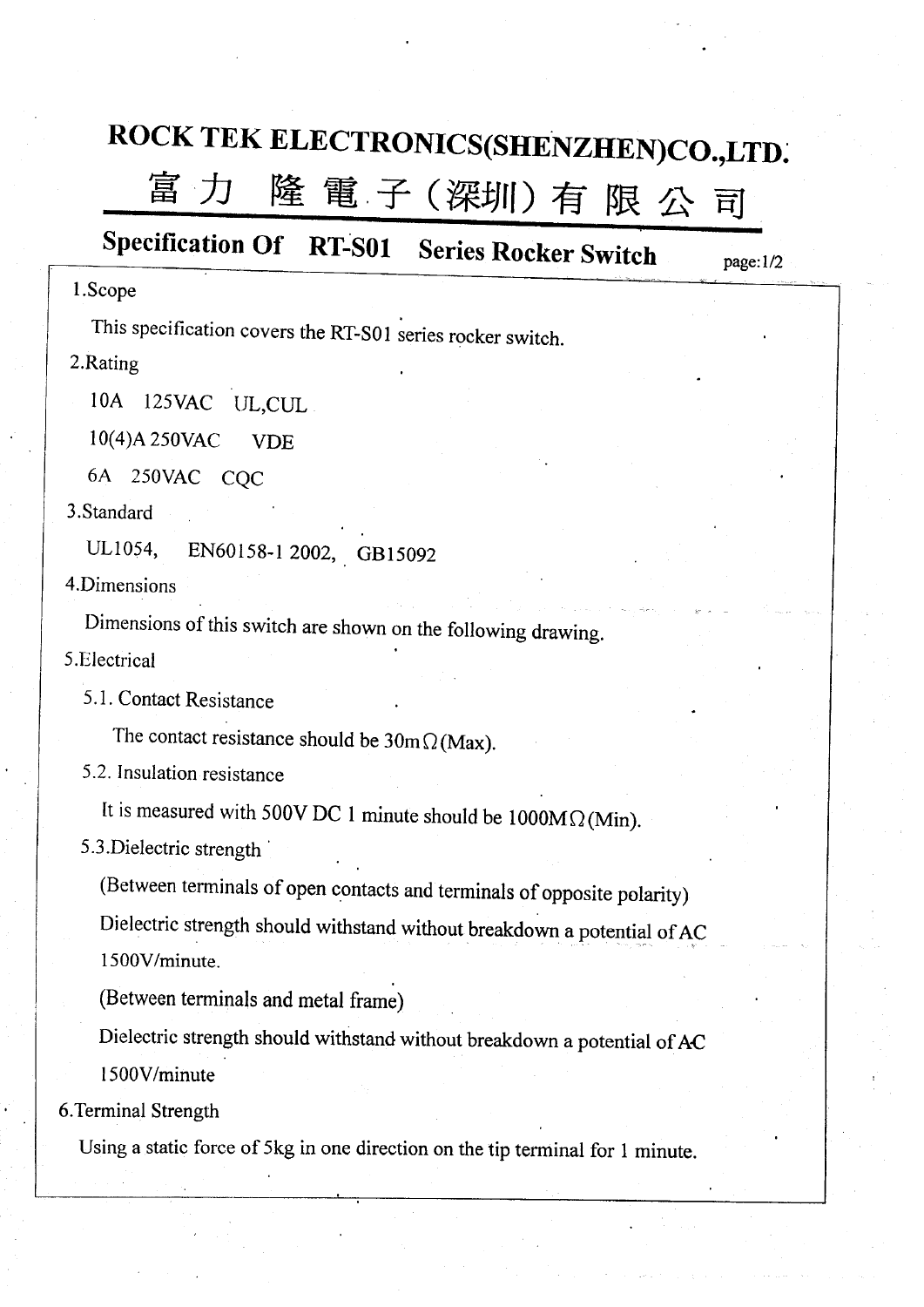# ROCK TEK ELECTRONICS(SHENZHEN)CO.,LTD.

### 富力 隆 電 子 (深圳) 有限公司

## Specification Of RT-S01 Series Rocker Switch

 $page:1/2$ 

### 1.Scope

This specification covers the RT-S01 series rocker switch.

2.Rating

10A 125VAC UL, CUL

10(4)A 250VAC **VDE** 

6A 250VAC CQC

3.Standard

EN60158-1 2002, GB15092 UL1054.

4.Dimensions

Dimensions of this switch are shown on the following drawing.

5.Electrical

5.1. Contact Resistance

The contact resistance should be  $30 \text{m} \Omega(\text{Max})$ .

5.2. Insulation resistance

It is measured with 500V DC 1 minute should be  $1000M\Omega$  (Min).

5.3. Dielectric strength

(Between terminals of open contacts and terminals of opposite polarity)

Dielectric strength should withstand without breakdown a potential of AC 1500V/minute.

(Between terminals and metal frame)

Dielectric strength should withstand without breakdown a potential of AC 1500V/minute

6. Terminal Strength

Using a static force of 5kg in one direction on the tip terminal for 1 minute.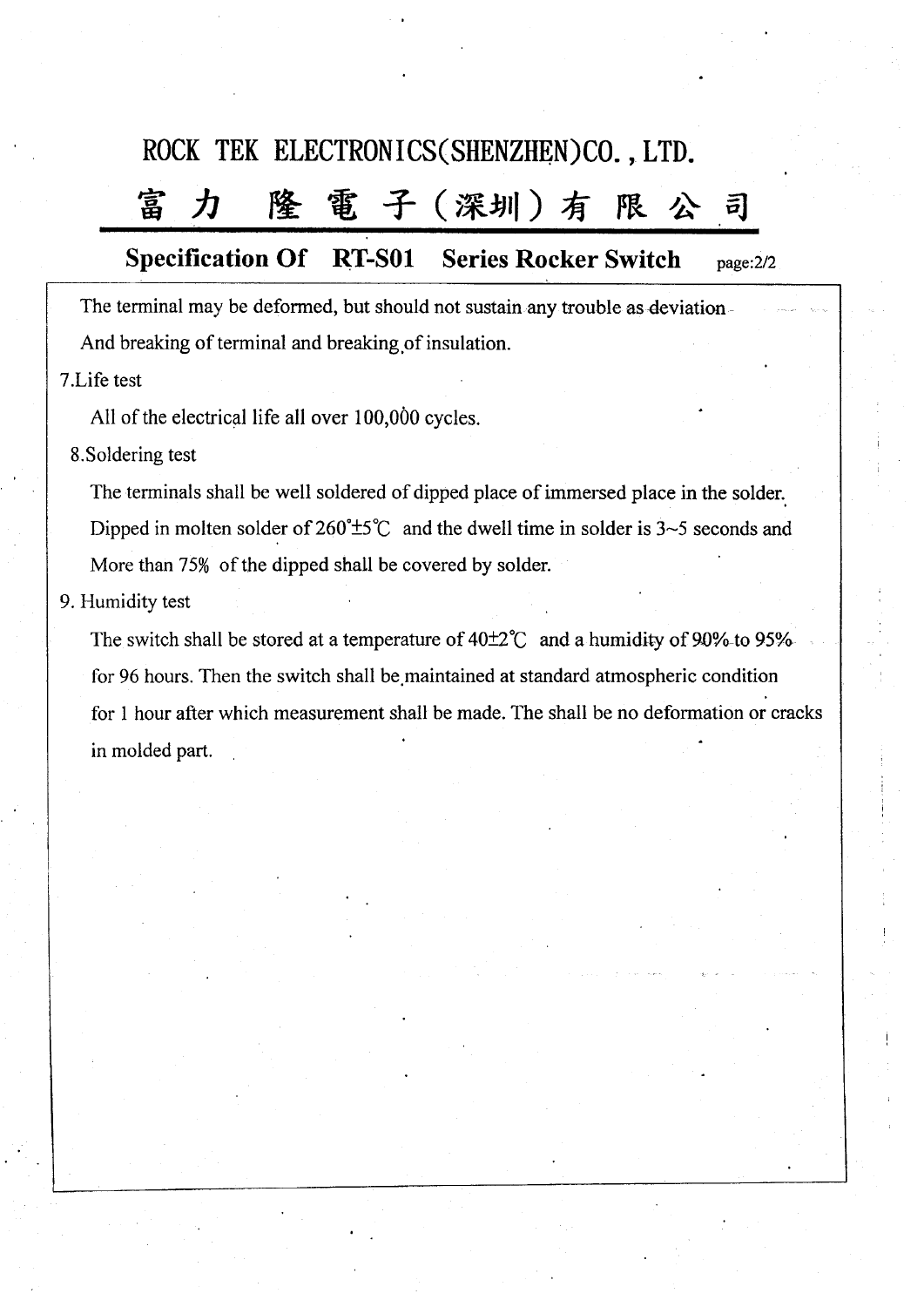## ROCK TEK ELECTRONICS(SHENZHEN)CO., LTD.

#### 隆 電子(深圳)有 富 力 限  $\vec{p}$

#### **Specification Of RT-S01 Series Rocker Switch** page:2/2

The terminal may be deformed, but should not sustain any trouble as deviation-And breaking of terminal and breaking of insulation.

7.Life test

All of the electrical life all over 100,000 cycles.

8. Soldering test

The terminals shall be well soldered of dipped place of immersed place in the solder. Dipped in molten solder of  $260^{\circ} \pm 5^{\circ}$  and the dwell time in solder is 3~5 seconds and More than 75% of the dipped shall be covered by solder.

### 9. Humidity test

The switch shall be stored at a temperature of  $40\pm2\degree$  and a humidity of 90%-to 95% for 96 hours. Then the switch shall be maintained at standard atmospheric condition for 1 hour after which measurement shall be made. The shall be no deformation or cracks in molded part.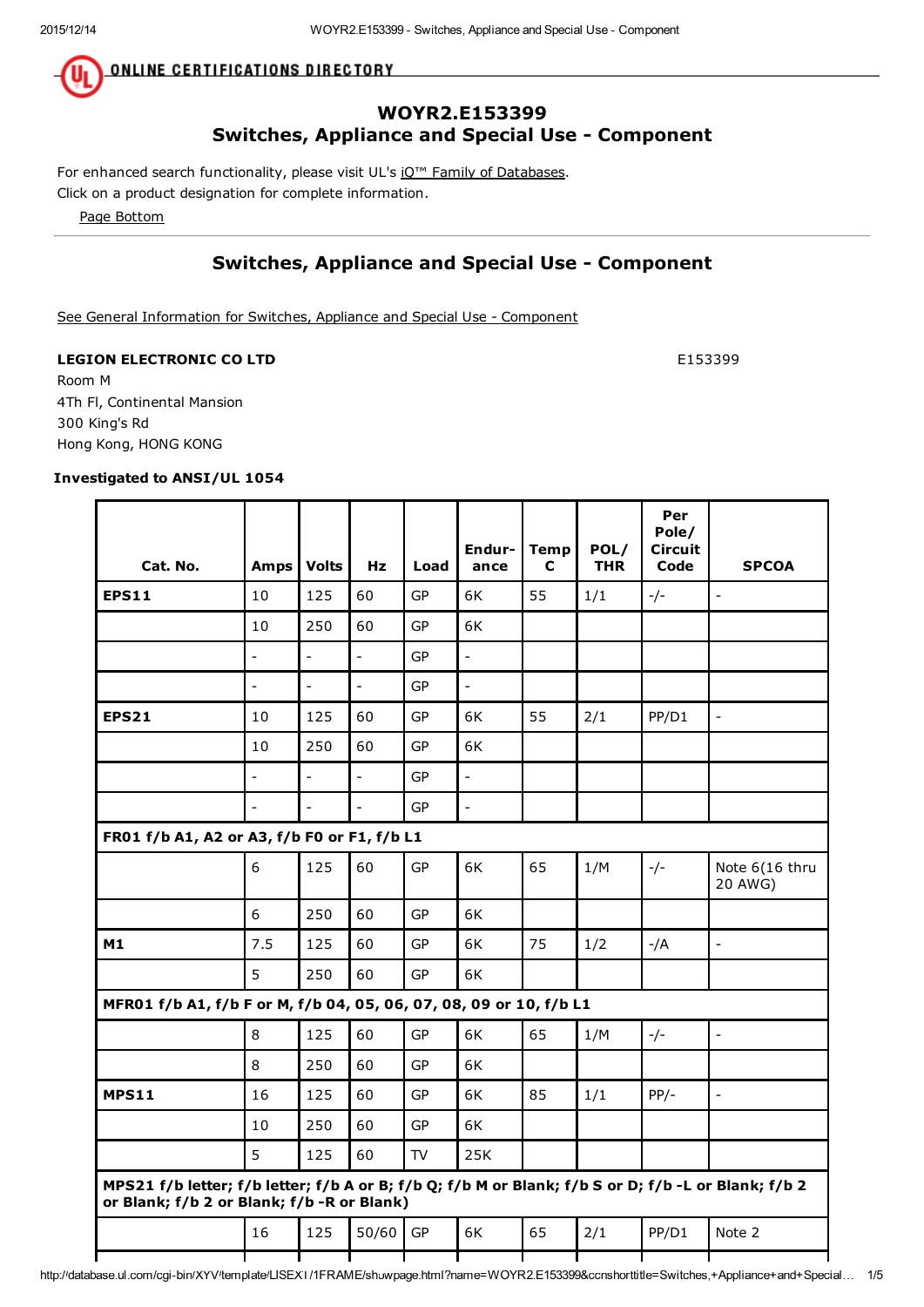**ONLINE CERTIFICATIONS DIRECTORY** 

#### WOYR2.E153399 Switches, Appliance and Special Use - Component

For enhanced search functionality, please visit UL's iQ<sup>™</sup> Family of Databases.

Click on a product designation for complete information.

Page Bottom

#### Switches, Appliance and Special Use - Component

See General Information for Switches, Appliance and Special Use - Component

#### LEGION ELECTRONIC CO LTD E153399

Room M 4Th Fl, Continental Mansion 300 King's Rd Hong Kong, HONG KONG

#### Investigated to ANSI/UL 1054

| Cat. No.                                                                                                                                          | <b>Amps</b>    | <b>Volts</b>             | Hz                       | Load      | Endur-<br>ance | <b>Temp</b><br>C | POL/<br><b>THR</b> | Per<br>Pole/<br><b>Circuit</b><br>Code | <b>SPCOA</b>              |
|---------------------------------------------------------------------------------------------------------------------------------------------------|----------------|--------------------------|--------------------------|-----------|----------------|------------------|--------------------|----------------------------------------|---------------------------|
| <b>EPS11</b>                                                                                                                                      | 10             | 125                      | 60                       | <b>GP</b> | 6K             | 55               | 1/1                | $-/-$                                  | $\overline{a}$            |
|                                                                                                                                                   | 10             | 250                      | 60                       | <b>GP</b> | 6K             |                  |                    |                                        |                           |
|                                                                                                                                                   | $\overline{a}$ |                          | $\overline{\phantom{a}}$ | <b>GP</b> | $\overline{a}$ |                  |                    |                                        |                           |
|                                                                                                                                                   | $\overline{a}$ | $\overline{\phantom{a}}$ | $\overline{\phantom{a}}$ | GP        | $\frac{1}{2}$  |                  |                    |                                        |                           |
| <b>EPS21</b>                                                                                                                                      | 10             | 125                      | 60                       | GP        | 6K             | 55               | 2/1                | PP/D1                                  | $\overline{\phantom{a}}$  |
|                                                                                                                                                   | 10             | 250                      | 60                       | GP        | 6K             |                  |                    |                                        |                           |
|                                                                                                                                                   | $\overline{a}$ | $\overline{a}$           | $\overline{a}$           | <b>GP</b> | $\overline{a}$ |                  |                    |                                        |                           |
|                                                                                                                                                   |                | $\overline{a}$           | $\overline{a}$           | <b>GP</b> | $\overline{a}$ |                  |                    |                                        |                           |
| FR01 f/b A1, A2 or A3, f/b F0 or F1, f/b L1                                                                                                       |                |                          |                          |           |                |                  |                    |                                        |                           |
|                                                                                                                                                   | 6              | 125                      | 60                       | GP        | 6K             | 65               | 1/M                | $-/-$                                  | Note 6(16 thru<br>20 AWG) |
|                                                                                                                                                   | 6              | 250                      | 60                       | GP        | 6K             |                  |                    |                                        |                           |
| M1                                                                                                                                                | 7.5            | 125                      | 60                       | GP        | 6K             | 75               | 1/2                | -/A                                    | $\overline{\phantom{a}}$  |
|                                                                                                                                                   | 5              | 250                      | 60                       | <b>GP</b> | 6K             |                  |                    |                                        |                           |
| MFR01 f/b A1, f/b F or M, f/b 04, 05, 06, 07, 08, 09 or 10, f/b L1                                                                                |                |                          |                          |           |                |                  |                    |                                        |                           |
|                                                                                                                                                   | 8              | 125                      | 60                       | <b>GP</b> | 6K             | 65               | 1/M                | $-/-$                                  | $\frac{1}{2}$             |
|                                                                                                                                                   | 8              | 250                      | 60                       | GP        | 6K             |                  |                    |                                        |                           |
| <b>MPS11</b>                                                                                                                                      | 16             | 125                      | 60                       | GP        | 6K             | 85               | 1/1                | $PP/-$                                 | $\overline{\phantom{a}}$  |
|                                                                                                                                                   | 10             | 250                      | 60                       | GP        | 6K             |                  |                    |                                        |                           |
|                                                                                                                                                   | 5              | 125                      | 60                       | TV        | 25K            |                  |                    |                                        |                           |
| MPS21 f/b letter; f/b letter; f/b A or B; f/b Q; f/b M or Blank; f/b S or D; f/b -L or Blank; f/b 2<br>or Blank; f/b 2 or Blank; f/b -R or Blank) |                |                          |                          |           |                |                  |                    |                                        |                           |
|                                                                                                                                                   | 16             | 125                      | 50/60                    | GP        | 6K             | 65               | 2/1                | PP/D1                                  | Note 2                    |
|                                                                                                                                                   |                |                          |                          |           |                |                  |                    |                                        |                           |

http://database.ul.com/cgi-bin/XYV/template/LISEXT/1FRAME/showpage.html?name=WOYR2.E153399&ccnshorttitle=Switches,+Appliance+and+Special… 1/5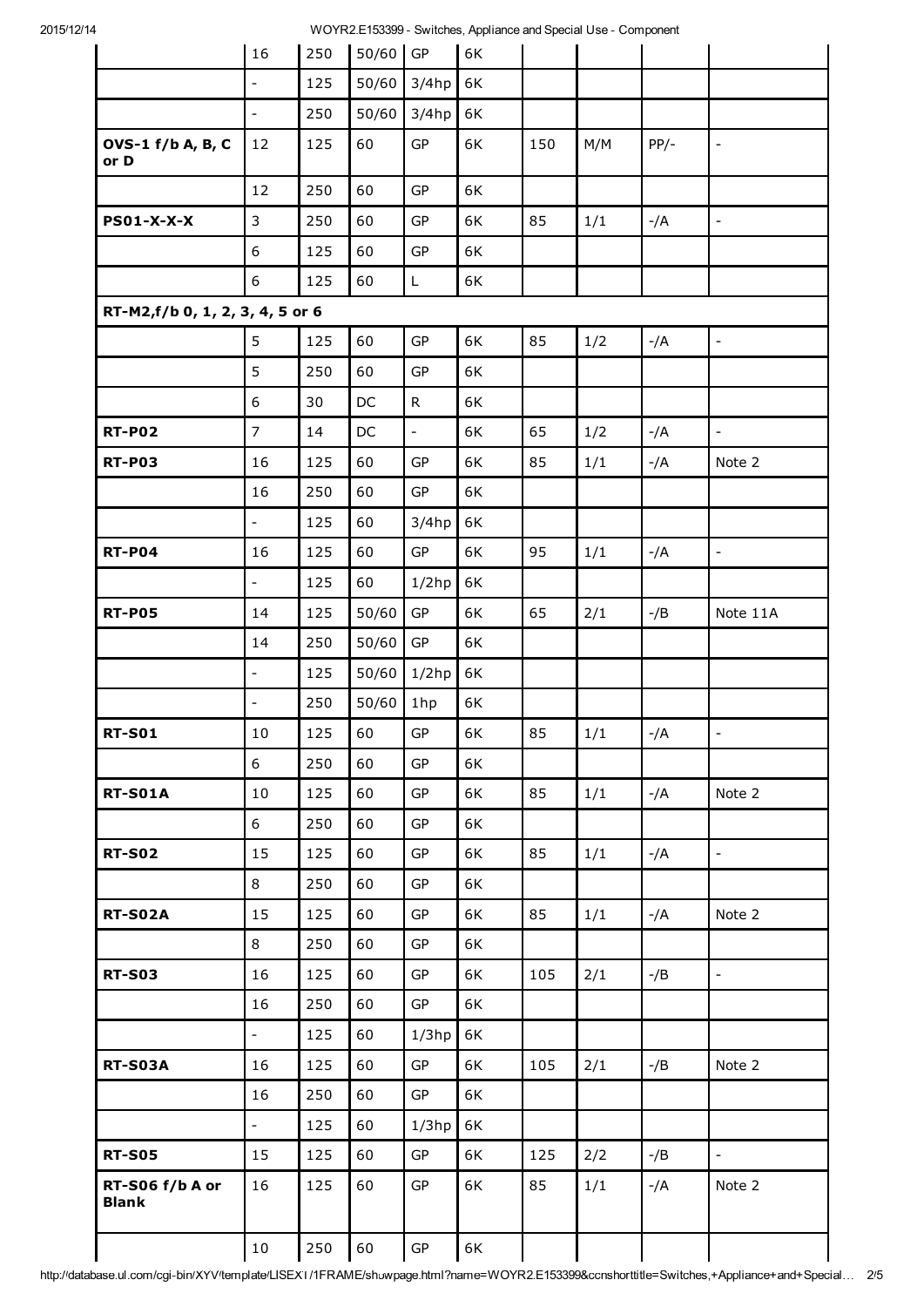2015/12/14 WOYR2.E153399 - Switches, Appliance and Special Use - Component

|                                 | 16                        | 250 | $50/60$ GP    |              | 6K |     |       |        |                              |
|---------------------------------|---------------------------|-----|---------------|--------------|----|-----|-------|--------|------------------------------|
|                                 | $\overline{\phantom{a}}$  | 125 | 50/60         | $3/4$ hp     | 6K |     |       |        |                              |
|                                 | $\Box$                    | 250 | 50/60         | $3/4$ hp     | 6K |     |       |        |                              |
| OVS-1 f/b A, B, C<br>or D       | 12                        | 125 | 60            | GP           | 6K | 150 | M/M   | $PP/-$ | $\blacksquare$               |
|                                 | 12                        | 250 | 60            | GP           | 6K |     |       |        |                              |
| <b>PS01-X-X-X</b>               | $\mathbf{3}$              | 250 | 60            | GP           | 6K | 85  | 1/1   | $-/A$  | $\qquad \qquad \blacksquare$ |
|                                 | 6                         | 125 | 60            | GP           | 6K |     |       |        |                              |
|                                 | 6                         | 125 | 60            | L            | 6K |     |       |        |                              |
| RT-M2,f/b 0, 1, 2, 3, 4, 5 or 6 |                           |     |               |              |    |     |       |        |                              |
|                                 | 5                         | 125 | 60            | ${\sf GP}$   | 6K | 85  | 1/2   | $-/A$  | $\overline{\phantom{a}}$     |
|                                 | 5                         | 250 | 60            | GP           | 6K |     |       |        |                              |
|                                 | 6                         | 30  | $\mathsf{DC}$ | $\mathsf{R}$ | 6K |     |       |        |                              |
| <b>RT-P02</b>                   | $\overline{7}$            | 14  | DC            | $\omega$     | 6K | 65  | 1/2   | $-/A$  | $\overline{\phantom{a}}$     |
| <b>RT-P03</b>                   | 16                        | 125 | 60            | GP           | 6K | 85  | 1/1   | $-/A$  | Note 2                       |
|                                 | 16                        | 250 | 60            | ${\sf GP}$   | 6K |     |       |        |                              |
|                                 | $\mathbb{Z}^{\mathbb{Z}}$ | 125 | 60            | 3/4hp        | 6K |     |       |        |                              |
| <b>RT-P04</b>                   | 16                        | 125 | 60            | ${\sf GP}$   | 6K | 95  | 1/1   | $-/A$  | $\overline{\phantom{a}}$     |
|                                 | $\overline{\phantom{a}}$  | 125 | 60            | 1/2hp        | 6K |     |       |        |                              |
| <b>RT-P05</b>                   | 14                        | 125 | 50/60         | GP           | 6K | 65  | 2/1   | $-$ /B | Note 11A                     |
|                                 | 14                        | 250 | 50/60         | GP           | 6K |     |       |        |                              |
|                                 | $\Box$                    | 125 | 50/60         | $1/2$ hp     | 6K |     |       |        |                              |
|                                 | L,                        | 250 | 50/60         | 1hp          | 6K |     |       |        |                              |
| <b>RT-S01</b>                   | $10\,$                    | 125 | 60            | GP           | 6K | 85  | $1/1$ | $-/A$  |                              |
|                                 | 6                         | 250 | 60            | GP           | 6K |     |       |        |                              |
| <b>RT-S01A</b>                  | 10                        | 125 | 60            | GP           | 6K | 85  | 1/1   | -/A    | Note 2                       |
|                                 | 6                         | 250 | 60            | GP           | 6K |     |       |        |                              |
| <b>RT-S02</b>                   | 15                        | 125 | 60            | GP           | 6K | 85  | 1/1   | $-/A$  | $\frac{1}{2}$                |
|                                 | 8                         | 250 | 60            | GP           | 6K |     |       |        |                              |
| <b>RT-S02A</b>                  | 15                        | 125 | 60            | GP           | 6K | 85  | 1/1   | $-/A$  | Note 2                       |
|                                 | 8                         | 250 | 60            | GP           | 6K |     |       |        |                              |
| <b>RT-S03</b>                   | 16                        | 125 | 60            | GP           | 6K | 105 | 2/1   | $-$ /B | $\frac{1}{2}$                |
|                                 | 16                        | 250 | 60            | ${\sf GP}$   | 6K |     |       |        |                              |
|                                 | $\mathbb{Z}^{\mathbb{Z}}$ | 125 | 60            | $1/3$ hp     | 6K |     |       |        |                              |
| <b>RT-S03A</b>                  | 16                        | 125 | 60            | ${\sf GP}$   | 6K | 105 | 2/1   | $-$ /B | Note 2                       |
|                                 | 16                        | 250 | 60            | GP           | 6K |     |       |        |                              |
|                                 | $\mathbb{Z}^{\mathbb{Z}}$ | 125 | 60            | $1/3$ hp     | 6K |     |       |        |                              |
| <b>RT-S05</b>                   | 15                        | 125 | 60            | GP           | 6K | 125 | 2/2   | $-$ /B | $\equiv$                     |
| RT-S06 f/b A or<br><b>Blank</b> | 16                        | 125 | 60            | GP           | 6K | 85  | 1/1   | -/A    | Note 2                       |
|                                 | 10                        | 250 | 60            | GP           | 6K |     |       |        |                              |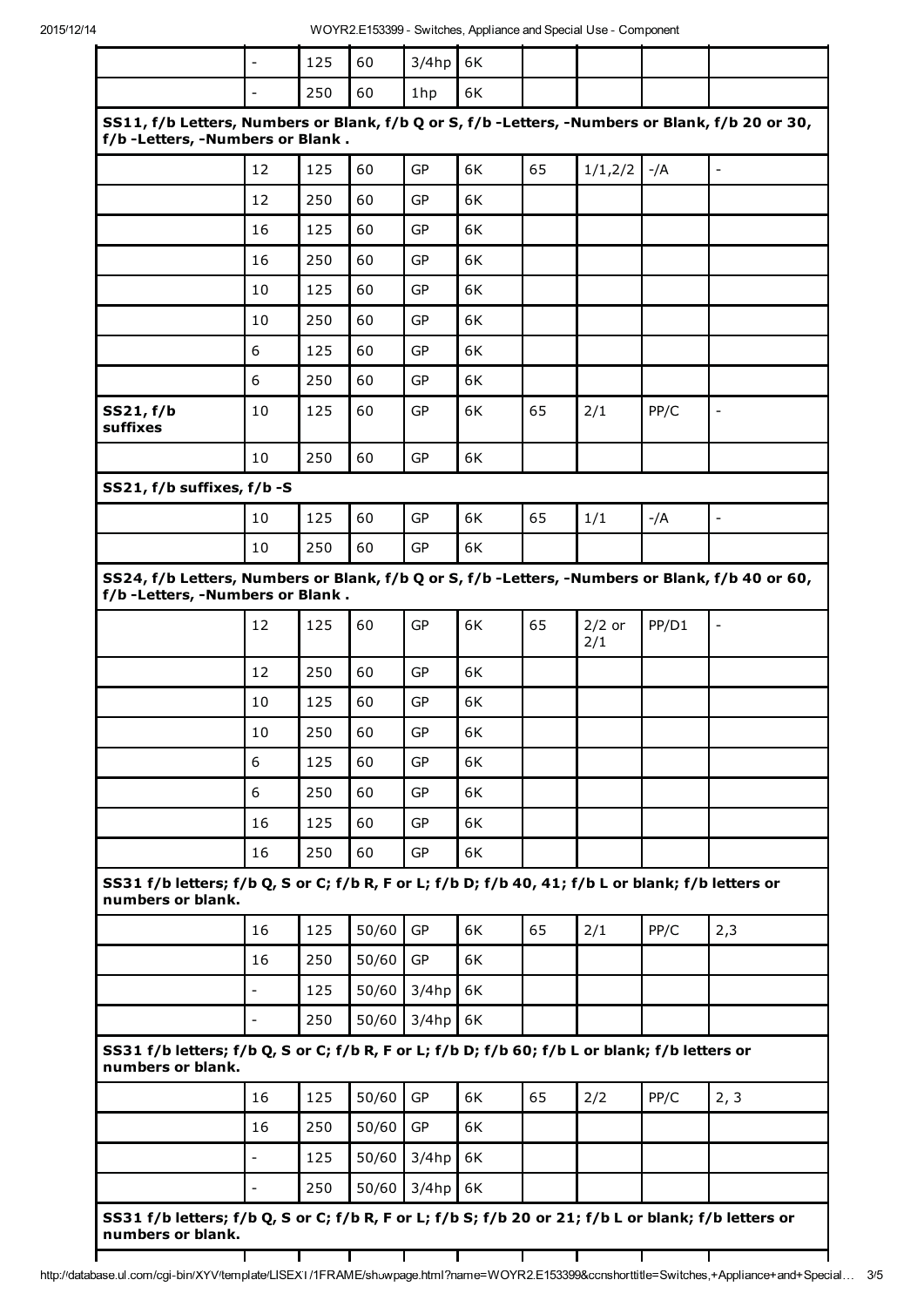|                                                                                                                                       | $\overline{\phantom{a}}$ | 125 | 60    | $3/4$ hp  | 6K |    |                 |       |                          |
|---------------------------------------------------------------------------------------------------------------------------------------|--------------------------|-----|-------|-----------|----|----|-----------------|-------|--------------------------|
|                                                                                                                                       |                          | 250 | 60    | 1hp       | 6K |    |                 |       |                          |
| SS11, f/b Letters, Numbers or Blank, f/b Q or S, f/b -Letters, -Numbers or Blank, f/b 20 or 30,<br>f/b - Letters, - Numbers or Blank. |                          |     |       |           |    |    |                 |       |                          |
|                                                                                                                                       | 12                       | 125 | 60    | GP        | 6K | 65 | 1/1,2/2         | $-/A$ | $\overline{a}$           |
|                                                                                                                                       | 12                       | 250 | 60    | GP        | 6K |    |                 |       |                          |
|                                                                                                                                       | 16                       | 125 | 60    | GP        | 6K |    |                 |       |                          |
|                                                                                                                                       | 16                       | 250 | 60    | GP        | 6K |    |                 |       |                          |
|                                                                                                                                       | 10                       | 125 | 60    | GP        | 6K |    |                 |       |                          |
|                                                                                                                                       | 10                       | 250 | 60    | GP        | 6K |    |                 |       |                          |
|                                                                                                                                       | 6                        | 125 | 60    | GP        | 6K |    |                 |       |                          |
|                                                                                                                                       | 6                        | 250 | 60    | GP        | 6K |    |                 |       |                          |
| SS21, f/b<br>suffixes                                                                                                                 | 10                       | 125 | 60    | GP        | 6K | 65 | 2/1             | PP/C  | $\overline{\phantom{a}}$ |
|                                                                                                                                       | 10                       | 250 | 60    | GP        | 6K |    |                 |       |                          |
| SS21, f/b suffixes, f/b -S                                                                                                            |                          |     |       |           |    |    |                 |       |                          |
|                                                                                                                                       | 10                       | 125 | 60    | GP        | 6K | 65 | 1/1             | $-/A$ | $\overline{\phantom{0}}$ |
|                                                                                                                                       | 10                       | 250 | 60    | GP        | 6K |    |                 |       |                          |
| SS24, f/b Letters, Numbers or Blank, f/b Q or S, f/b -Letters, -Numbers or Blank, f/b 40 or 60,<br>f/b - Letters, - Numbers or Blank. |                          |     |       |           |    |    |                 |       |                          |
|                                                                                                                                       | 12                       | 125 | 60    | GP        | 6K | 65 | $2/2$ or<br>2/1 | PP/D1 | $\overline{\phantom{0}}$ |
|                                                                                                                                       | 12                       | 250 | 60    | GP        | 6K |    |                 |       |                          |
|                                                                                                                                       | 10                       | 125 | 60    | GP        | 6K |    |                 |       |                          |
|                                                                                                                                       | 10                       | 250 | 60    | GP        | 6K |    |                 |       |                          |
|                                                                                                                                       | 6                        | 125 | 60    | GP        | 6K |    |                 |       |                          |
|                                                                                                                                       | 6                        | 250 | 60    | GP        | 6K |    |                 |       |                          |
|                                                                                                                                       | 16                       | 125 | 60    | GP        | 6K |    |                 |       |                          |
|                                                                                                                                       | 16                       | 250 | 60    | GP        | 6K |    |                 |       |                          |
| SS31 f/b letters; f/b Q, S or C; f/b R, F or L; f/b D; f/b 40, 41; f/b L or blank; f/b letters or<br>numbers or blank.                |                          |     |       |           |    |    |                 |       |                          |
|                                                                                                                                       | 16                       | 125 | 50/60 | <b>GP</b> | 6K | 65 | 2/1             | PP/C  | 2,3                      |
|                                                                                                                                       |                          |     |       |           |    |    |                 |       |                          |
|                                                                                                                                       | 16                       | 250 | 50/60 | GP        | 6K |    |                 |       |                          |
|                                                                                                                                       | $\overline{\phantom{a}}$ | 125 | 50/60 | 3/4hp     | 6K |    |                 |       |                          |
|                                                                                                                                       | $\overline{\phantom{a}}$ | 250 | 50/60 | 3/4hp     | 6K |    |                 |       |                          |
|                                                                                                                                       |                          |     |       |           |    |    |                 |       |                          |
|                                                                                                                                       | 16                       | 125 | 50/60 | <b>GP</b> | 6K | 65 | 2/2             | PP/C  | 2, 3                     |
| SS31 f/b letters; f/b Q, S or C; f/b R, F or L; f/b D; f/b 60; f/b L or blank; f/b letters or<br>numbers or blank.                    | 16                       | 250 | 50/60 | GP        | 6K |    |                 |       |                          |
|                                                                                                                                       | $\overline{\phantom{a}}$ | 125 | 50/60 | $3/4$ hp  | 6K |    |                 |       |                          |

http://database.ul.com/cgi-bin/XYV/template/LISEXT/1FRAME/showpage.html?name=WOYR2.E153399&ccnshorttitle=Switches,+Appliance+and+Special… 3/5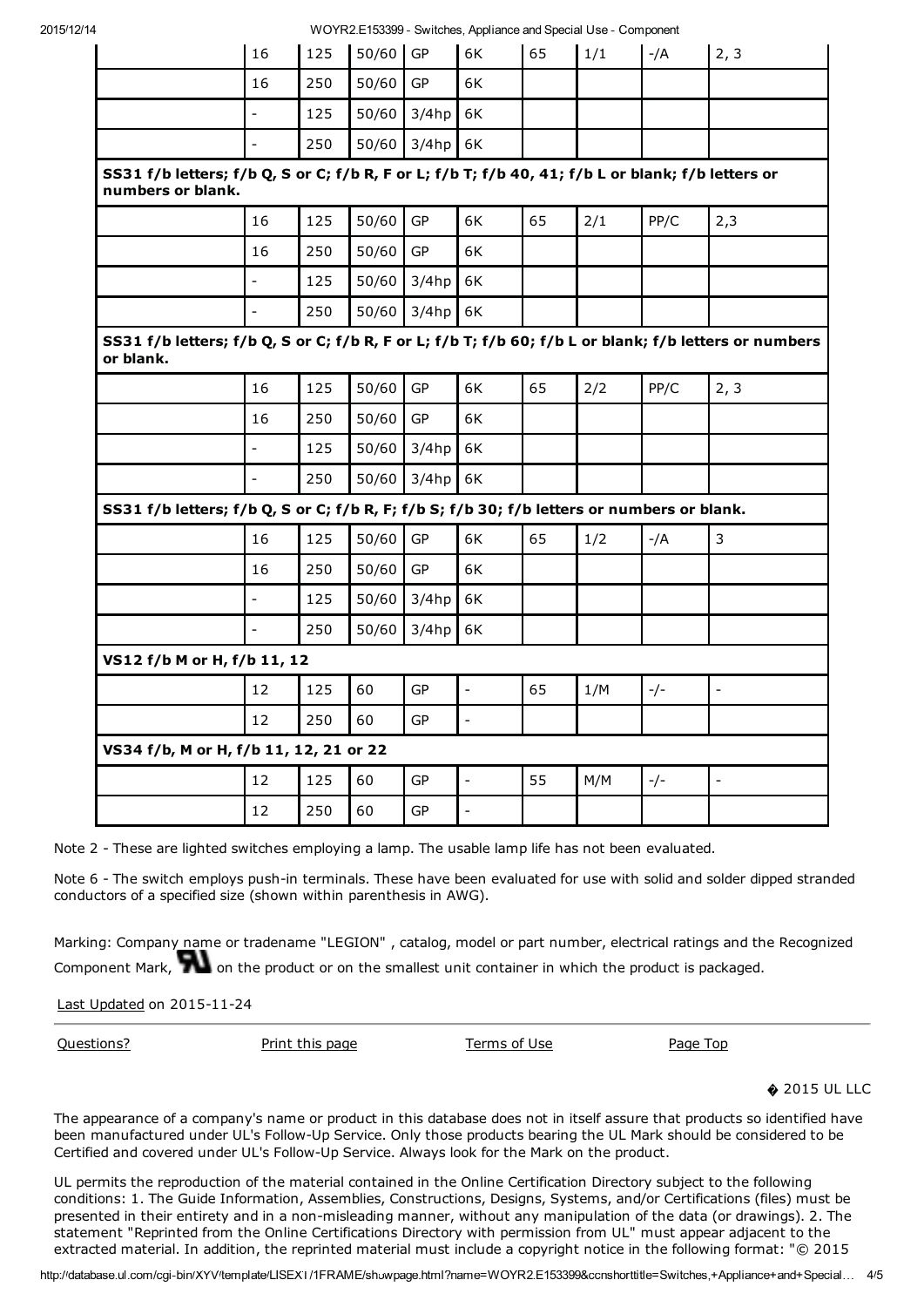2015/12/14 WOYR2.E153399 - Switches, Appliance and Special Use - Component

|                                                                                                                        |                          |     |            |           | rvo i i vale 199999 - Ownterles, Applicatec dita Opecial Osc - Odifi |    |     |       |                |
|------------------------------------------------------------------------------------------------------------------------|--------------------------|-----|------------|-----------|----------------------------------------------------------------------|----|-----|-------|----------------|
|                                                                                                                        | 16                       | 125 | $50/60$ GP |           | 6K                                                                   | 65 | 1/1 | $-/A$ | 2, 3           |
|                                                                                                                        | 16                       | 250 | 50/60      | GP        | 6K                                                                   |    |     |       |                |
|                                                                                                                        | $\frac{1}{2}$            | 125 | 50/60      | 3/4hp     | 6K                                                                   |    |     |       |                |
|                                                                                                                        | $\overline{a}$           | 250 | 50/60      | $3/4$ hp  | 6K                                                                   |    |     |       |                |
| SS31 f/b letters; f/b Q, S or C; f/b R, F or L; f/b T; f/b 40, 41; f/b L or blank; f/b letters or<br>numbers or blank. |                          |     |            |           |                                                                      |    |     |       |                |
|                                                                                                                        | 16                       | 125 | 50/60      | GP        | 6K                                                                   | 65 | 2/1 | PP/C  | 2,3            |
|                                                                                                                        | 16                       | 250 | 50/60      | GP        | 6K                                                                   |    |     |       |                |
|                                                                                                                        | $\blacksquare$           | 125 | 50/60      | 3/4hp     | 6K                                                                   |    |     |       |                |
|                                                                                                                        | $\overline{a}$           | 250 | 50/60      | 3/4hp     | 6K                                                                   |    |     |       |                |
| SS31 f/b letters; f/b Q, S or C; f/b R, F or L; f/b T; f/b 60; f/b L or blank; f/b letters or numbers<br>or blank.     |                          |     |            |           |                                                                      |    |     |       |                |
|                                                                                                                        | 16                       | 125 | 50/60      | <b>GP</b> | 6K                                                                   | 65 | 2/2 | PP/C  | 2, 3           |
|                                                                                                                        | 16                       | 250 | 50/60      | GP        | 6K                                                                   |    |     |       |                |
|                                                                                                                        | $\frac{1}{2}$            | 125 | 50/60      | 3/4hp     | 6K                                                                   |    |     |       |                |
|                                                                                                                        | $\frac{1}{2}$            | 250 | 50/60      | 3/4hp     | 6K                                                                   |    |     |       |                |
| SS31 f/b letters; f/b Q, S or C; f/b R, F; f/b S; f/b 30; f/b letters or numbers or blank.                             |                          |     |            |           |                                                                      |    |     |       |                |
|                                                                                                                        | 16                       | 125 | 50/60      | <b>GP</b> | 6K                                                                   | 65 | 1/2 | $-/A$ | 3              |
|                                                                                                                        | 16                       | 250 | 50/60      | GP        | 6K                                                                   |    |     |       |                |
|                                                                                                                        | $\frac{1}{2}$            | 125 | 50/60      | 3/4hp     | 6K                                                                   |    |     |       |                |
|                                                                                                                        | $\overline{\phantom{a}}$ | 250 | 50/60      | 3/4hp     | 6K                                                                   |    |     |       |                |
| VS12 f/b M or H, f/b 11, 12                                                                                            |                          |     |            |           |                                                                      |    |     |       |                |
|                                                                                                                        | 12                       | 125 | 60         | GP        | $\mathbb{Z}^2$                                                       | 65 | 1/M | $-/-$ | $\blacksquare$ |
|                                                                                                                        | 12                       | 250 | 60         | GP        | $\blacksquare$                                                       |    |     |       |                |
| VS34 f/b, M or H, f/b 11, 12, 21 or 22                                                                                 |                          |     |            |           |                                                                      |    |     |       |                |
|                                                                                                                        | 12                       | 125 | 60         | GP        | $\overline{a}$                                                       | 55 | M/M | $-/-$ | $\frac{1}{2}$  |
|                                                                                                                        | 12                       | 250 | 60         | GP        |                                                                      |    |     |       |                |

Note 2 - These are lighted switches employing a lamp. The usable lamp life has not been evaluated.

Note 6 - The switch employs push-in terminals. These have been evaluated for use with solid and solder dipped stranded conductors of a specified size (shown within parenthesis in AWG).

Marking: Company name or tradename "LEGION" , catalog, model or part number, electrical ratings and the Recognized Component Mark, **the standard on the product** or on the smallest unit container in which the product is packaged.

Last Updated on 2015-11-24

Questions? Print this page Terms of Use Page Top

**♦ 2015 UL LLC** 

The appearance of a company's name or product in this database does not in itself assure that products so identified have been manufactured under UL's Follow-Up Service. Only those products bearing the UL Mark should be considered to be Certified and covered under UL's Follow-Up Service. Always look for the Mark on the product.

UL permits the reproduction of the material contained in the Online Certification Directory subject to the following conditions: 1. The Guide Information, Assemblies, Constructions, Designs, Systems, and/or Certifications (files) must be presented in their entirety and in a non-misleading manner, without any manipulation of the data (or drawings). 2. The statement "Reprinted from the Online Certifications Directory with permission from UL" must appear adjacent to the extracted material. In addition, the reprinted material must include a copyright notice in the following format: "© 2015

http://database.ul.com/cgi-bin/XYV/template/LISEXT/1FRAME/showpage.html?name=WOYR2.E153399&ccnshorttitle=Switches,+Appliance+and+Special… 4/5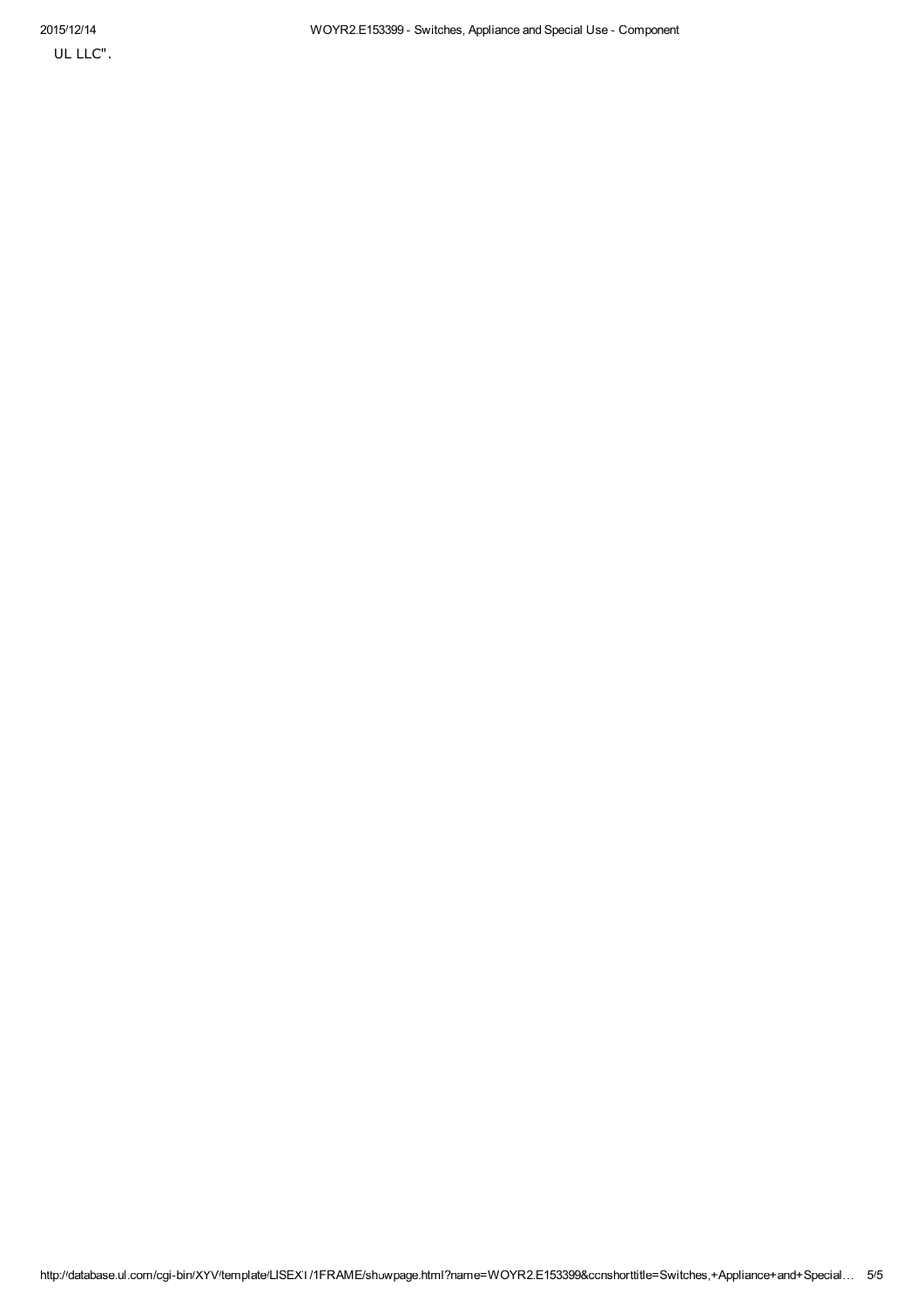UL LLC".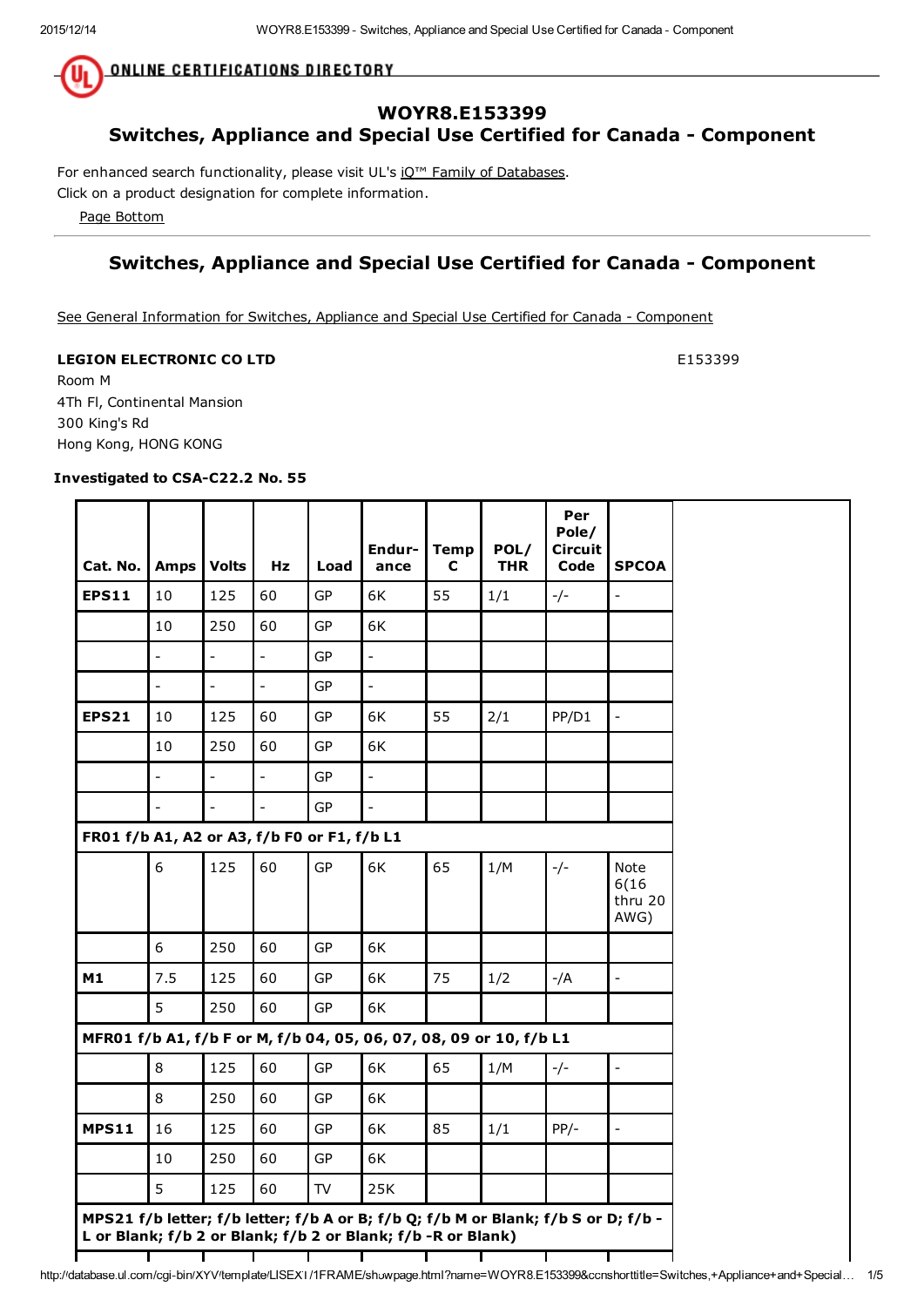**ONLINE CERTIFICATIONS DIRECTORY** 

### WOYR8.E153399 Switches, Appliance and Special Use Certified for Canada - Component

For enhanced search functionality, please visit UL's iQ<sup>™</sup> Family of Databases.

Click on a product designation for complete information.

Page Bottom

### Switches, Appliance and Special Use Certified for Canada - Component

See General Information for Switches, Appliance and Special Use Certified for Canada - Component

#### **LEGION ELECTRONIC CO LTD E153399**

Room M 4Th Fl, Continental Mansion 300 King's Rd Hong Kong, HONG KONG

r

#### Investigated to CSA-C22.2 No. 55

 $\overline{\phantom{0}}$ 

÷

| Cat. No.   Amps                                                    |                          | <b>Volts</b>   | Hz                       | Load      | Endur-<br>ance           | <b>Temp</b><br>C | POL/<br><b>THR</b> | Per<br>Pole/<br><b>Circuit</b><br>Code | <b>SPCOA</b>                     |
|--------------------------------------------------------------------|--------------------------|----------------|--------------------------|-----------|--------------------------|------------------|--------------------|----------------------------------------|----------------------------------|
| <b>EPS11</b>                                                       | 10                       | 125            | 60                       | GP        | 6K                       | 55               | 1/1                | $-/-$                                  | $\frac{1}{2}$                    |
|                                                                    | 10                       | 250            | 60                       | <b>GP</b> | 6K                       |                  |                    |                                        |                                  |
|                                                                    | $\overline{\phantom{0}}$ | $\overline{a}$ | $\overline{\phantom{a}}$ | <b>GP</b> | $\Box$                   |                  |                    |                                        |                                  |
|                                                                    | $\overline{\phantom{0}}$ | $\overline{a}$ | $\overline{a}$           | <b>GP</b> | $\overline{\phantom{a}}$ |                  |                    |                                        |                                  |
| <b>EPS21</b>                                                       | 10                       | 125            | 60                       | GP        | 6K                       | 55               | 2/1                | PP/D1                                  | $\frac{1}{2}$                    |
|                                                                    | 10                       | 250            | 60                       | GP        | 6K                       |                  |                    |                                        |                                  |
|                                                                    | $\overline{a}$           | $\overline{a}$ | $\overline{a}$           | <b>GP</b> | $\overline{a}$           |                  |                    |                                        |                                  |
|                                                                    | $\overline{a}$           | $\overline{a}$ | $\overline{a}$           | <b>GP</b> | $\overline{a}$           |                  |                    |                                        |                                  |
| FR01 f/b A1, A2 or A3, f/b F0 or F1, f/b L1                        |                          |                |                          |           |                          |                  |                    |                                        |                                  |
|                                                                    | 6                        | 125            | 60                       | GP        | 6K                       | 65               | 1/M                | $-/-$                                  | Note<br>6(16)<br>thru 20<br>AWG) |
|                                                                    | 6                        | 250            | 60                       | GP        | 6K                       |                  |                    |                                        |                                  |
| M1                                                                 | 7.5                      | 125            | 60                       | GP        | 6K                       | 75               | 1/2                | $-/A$                                  | $\overline{a}$                   |
|                                                                    | 5                        | 250            | 60                       | GP        | 6K                       |                  |                    |                                        |                                  |
| MFR01 f/b A1, f/b F or M, f/b 04, 05, 06, 07, 08, 09 or 10, f/b L1 |                          |                |                          |           |                          |                  |                    |                                        |                                  |
|                                                                    | 8                        | 125            | 60                       | <b>GP</b> | 6K                       | 65               | 1/M                | $-/-$                                  | $\overline{\phantom{a}}$         |
|                                                                    | 8                        | 250            | 60                       | GP        | 6K                       |                  |                    |                                        |                                  |
| <b>MPS11</b>                                                       | 16                       | 125            | 60                       | GP        | 6K                       | 85               | 1/1                | $PP/-$                                 | $\frac{1}{2}$                    |
|                                                                    | 10                       | 250            | 60                       | GP        | 6K                       |                  |                    |                                        |                                  |
|                                                                    |                          |                | 60                       | TV        | 25K                      |                  |                    |                                        |                                  |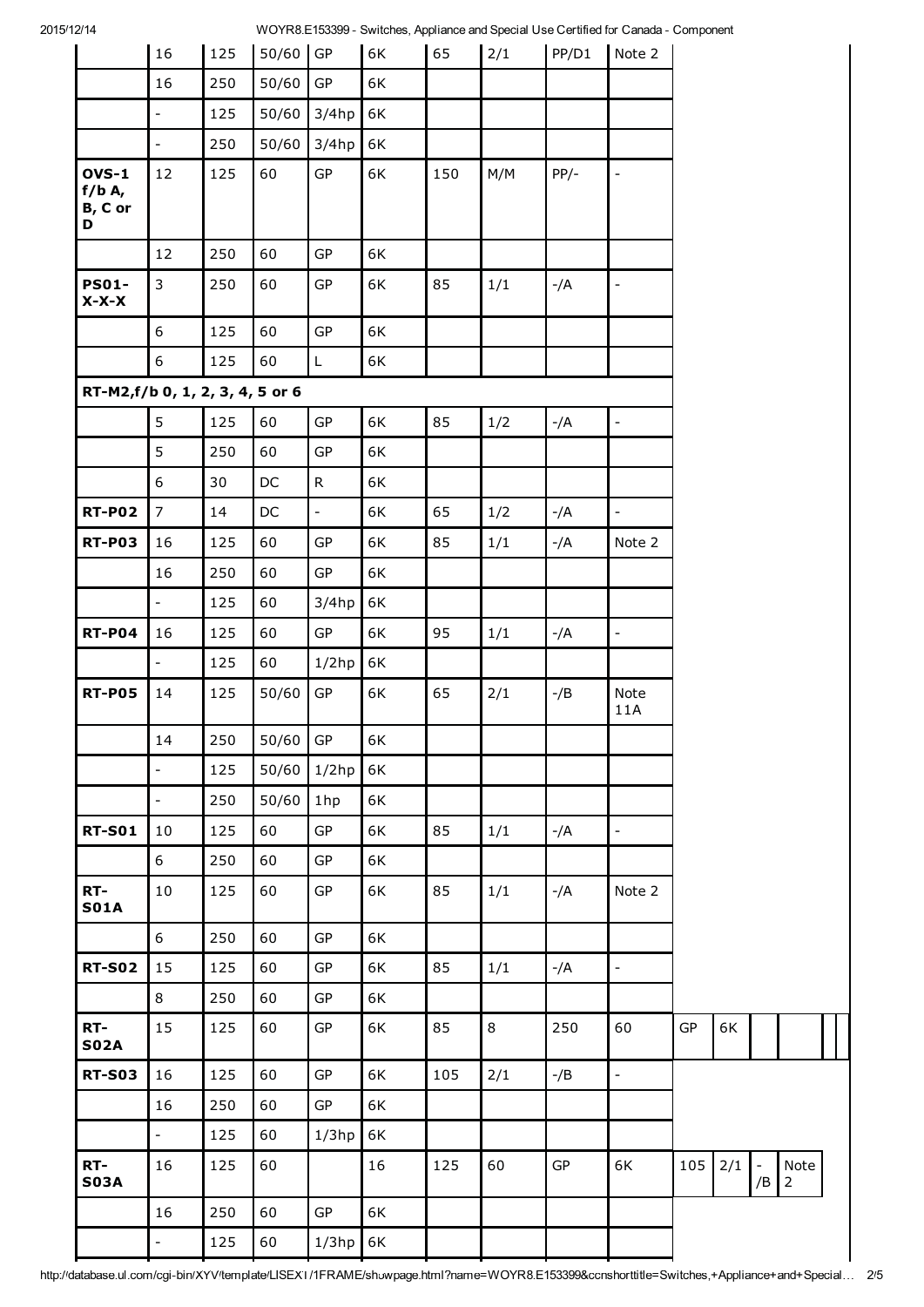2015/12/14 WOYR8.E153399 - Switches, Appliance and Special Use Certified for Canada - Component

|                                          | 16                       | 125 | 50/60         | ${\sf GP}$   | 6K | 65  | 2/1 | PP/D1  | Note 2                   |     |     |                                |                        |  |
|------------------------------------------|--------------------------|-----|---------------|--------------|----|-----|-----|--------|--------------------------|-----|-----|--------------------------------|------------------------|--|
|                                          | 16                       | 250 | 50/60         | ${\sf GP}$   | 6K |     |     |        |                          |     |     |                                |                        |  |
|                                          | $\Box$                   | 125 | 50/60         | $3/4$ hp     | 6K |     |     |        |                          |     |     |                                |                        |  |
|                                          | $\mathbb{Z}^2$           | 250 | 50/60         | $3/4$ hp     | 6K |     |     |        |                          |     |     |                                |                        |  |
| <b>OVS-1</b><br>$f/b$ A,<br>B, C or<br>D | 12                       | 125 | 60            | GP           | 6K | 150 | M/M | $PP/-$ | $\overline{\phantom{a}}$ |     |     |                                |                        |  |
|                                          | 12                       | 250 | 60            | GP           | 6K |     |     |        |                          |     |     |                                |                        |  |
| <b>PS01-</b><br>$X-X-X$                  | $\mathbf{3}$             | 250 | 60            | ${\sf GP}$   | 6K | 85  | 1/1 | $-/A$  | $\overline{\phantom{a}}$ |     |     |                                |                        |  |
|                                          | 6                        | 125 | 60            | GP           | 6K |     |     |        |                          |     |     |                                |                        |  |
|                                          | 6                        | 125 | 60            | L            | 6K |     |     |        |                          |     |     |                                |                        |  |
| RT-M2,f/b 0, 1, 2, 3, 4, 5 or 6          |                          |     |               |              |    |     |     |        |                          |     |     |                                |                        |  |
|                                          | 5                        | 125 | 60            | ${\sf GP}$   | 6K | 85  | 1/2 | $-/A$  | $\blacksquare$           |     |     |                                |                        |  |
|                                          | 5                        | 250 | 60            | GP           | 6K |     |     |        |                          |     |     |                                |                        |  |
|                                          | 6                        | 30  | $\mathsf{DC}$ | $\mathsf{R}$ | 6K |     |     |        |                          |     |     |                                |                        |  |
| <b>RT-P02</b>                            | $\overline{7}$           | 14  | $\mathsf{DC}$ | $\Box$       | 6K | 65  | 1/2 | $-/A$  | $\overline{a}$           |     |     |                                |                        |  |
| <b>RT-P03</b>                            | 16                       | 125 | 60            | ${\sf GP}$   | 6K | 85  | 1/1 | $-/A$  | Note 2                   |     |     |                                |                        |  |
|                                          | 16                       | 250 | 60            | ${\sf GP}$   | 6K |     |     |        |                          |     |     |                                |                        |  |
|                                          | $\overline{\phantom{a}}$ | 125 | 60            | $3/4$ hp     | 6K |     |     |        |                          |     |     |                                |                        |  |
| <b>RT-P04</b>                            | 16                       | 125 | 60            | GP           | 6K | 95  | 1/1 | $-/A$  | $\frac{1}{\sqrt{2}}$     |     |     |                                |                        |  |
|                                          | ÷,                       | 125 | 60            | $1/2$ hp     | 6K |     |     |        |                          |     |     |                                |                        |  |
| <b>RT-P05</b>                            | 14                       | 125 | 50/60         | ${\sf GP}$   | 6K | 65  | 2/1 | $-$ /B | Note<br>11A              |     |     |                                |                        |  |
|                                          | 14                       | 250 | $50/60$ GP    |              | 6K |     |     |        |                          |     |     |                                |                        |  |
|                                          | $\frac{1}{2}$            | 125 | 50/60         | $1/2$ hp     | 6K |     |     |        |                          |     |     |                                |                        |  |
|                                          | $\frac{1}{2}$            | 250 | 50/60         | 1hp          | 6K |     |     |        |                          |     |     |                                |                        |  |
| <b>RT-S01</b>                            | 10                       | 125 | 60            | GP           | 6K | 85  | 1/1 | $-/A$  | $\blacksquare$           |     |     |                                |                        |  |
|                                          | 6                        | 250 | 60            | GP           | 6K |     |     |        |                          |     |     |                                |                        |  |
| RT-<br><b>S01A</b>                       | 10                       | 125 | 60            | GP           | 6K | 85  | 1/1 | -/A    | Note 2                   |     |     |                                |                        |  |
|                                          | 6                        | 250 | 60            | GP           | 6K |     |     |        |                          |     |     |                                |                        |  |
| <b>RT-S02</b>                            | 15                       | 125 | 60            | ${\sf GP}$   | 6K | 85  | 1/1 | $-/A$  | $\frac{1}{2}$            |     |     |                                |                        |  |
|                                          | 8                        | 250 | 60            | GP           | 6K |     |     |        |                          |     |     |                                |                        |  |
| RT-<br><b>S02A</b>                       | 15                       | 125 | 60            | GP           | 6K | 85  | 8   | 250    | 60                       | GP  | 6K  |                                |                        |  |
| <b>RT-S03</b>                            | 16                       | 125 | 60            | GP           | 6K | 105 | 2/1 | -/B    | $\Box$                   |     |     |                                |                        |  |
|                                          | 16                       | 250 | 60            | ${\sf GP}$   | 6K |     |     |        |                          |     |     |                                |                        |  |
|                                          | $\equiv$                 | 125 | 60            | $1/3$ hp     | 6K |     |     |        |                          |     |     |                                |                        |  |
| RT-<br><b>S03A</b>                       | 16                       | 125 | 60            |              | 16 | 125 | 60  | GP     | 6K                       | 105 | 2/1 | $\overline{\phantom{a}}$<br>/B | Note<br>$\overline{2}$ |  |
|                                          | 16                       | 250 | 60            | ${\sf GP}$   | 6K |     |     |        |                          |     |     |                                |                        |  |
|                                          | $\overline{\phantom{0}}$ | 125 | 60            | $1/3$ hp     | 6K |     |     |        |                          |     |     |                                |                        |  |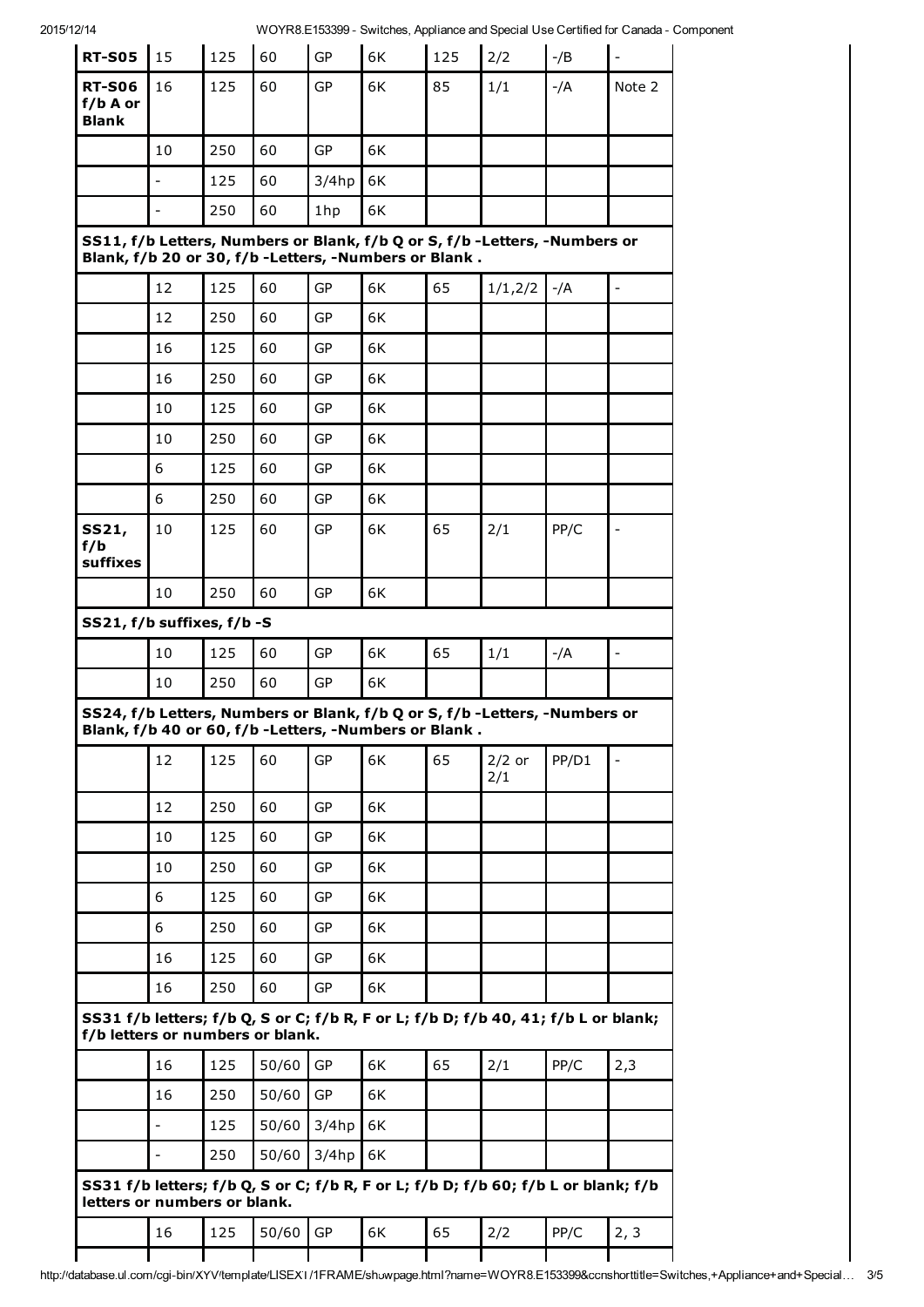2015/12/14 WOYR8.E153399 - Switches, Appliance and Special Use Certified for Canada - Component

| <b>RT-S05</b>                                                                                                      | 15                       | 125 | 60    | GP        | 6K                                                      | 125 | $N$ CTTV0. LTD0033 - OWTIGHES, ApplicaTice and Opecial OSE Centified for Canada - Comp<br>2/2 | $-$ /B | $\frac{1}{2}$            |
|--------------------------------------------------------------------------------------------------------------------|--------------------------|-----|-------|-----------|---------------------------------------------------------|-----|-----------------------------------------------------------------------------------------------|--------|--------------------------|
| <b>RT-S06</b>                                                                                                      | 16                       | 125 | 60    | GP        | 6K                                                      | 85  | 1/1                                                                                           | $-/A$  | Note 2                   |
| f/b A or<br><b>Blank</b>                                                                                           |                          |     |       |           |                                                         |     |                                                                                               |        |                          |
|                                                                                                                    | 10                       | 250 | 60    | GP        | 6K                                                      |     |                                                                                               |        |                          |
|                                                                                                                    |                          | 125 | 60    | $3/4$ hp  | 6K                                                      |     |                                                                                               |        |                          |
|                                                                                                                    | $\overline{\phantom{0}}$ | 250 | 60    | 1hp       | 6K                                                      |     |                                                                                               |        |                          |
|                                                                                                                    |                          |     |       |           | Blank, f/b 20 or 30, f/b - Letters, - Numbers or Blank. |     | SS11, f/b Letters, Numbers or Blank, f/b Q or S, f/b -Letters, -Numbers or                    |        |                          |
|                                                                                                                    | 12                       | 125 | 60    | GP        | 6K                                                      | 65  | 1/1,2/2                                                                                       | -/A    | $\frac{1}{\sqrt{2}}$     |
|                                                                                                                    | 12                       | 250 | 60    | GP        | 6K                                                      |     |                                                                                               |        |                          |
|                                                                                                                    | 16                       | 125 | 60    | <b>GP</b> | 6K                                                      |     |                                                                                               |        |                          |
|                                                                                                                    | 16                       | 250 | 60    | <b>GP</b> | 6K                                                      |     |                                                                                               |        |                          |
|                                                                                                                    | 10                       | 125 | 60    | <b>GP</b> | 6K                                                      |     |                                                                                               |        |                          |
|                                                                                                                    | 10                       | 250 | 60    | GP        | 6K                                                      |     |                                                                                               |        |                          |
|                                                                                                                    | 6                        | 125 | 60    | GP        | 6K                                                      |     |                                                                                               |        |                          |
|                                                                                                                    | 6                        | 250 | 60    | GP        | 6K                                                      |     |                                                                                               |        |                          |
| SS21,<br>f/b<br>suffixes                                                                                           | 10                       | 125 | 60    | GP        | 6K                                                      | 65  | 2/1                                                                                           | PP/C   | -                        |
|                                                                                                                    | 10                       | 250 | 60    | GP        | 6K                                                      |     |                                                                                               |        |                          |
| SS21, f/b suffixes, f/b -S                                                                                         |                          |     |       |           |                                                         |     |                                                                                               |        |                          |
|                                                                                                                    | 10                       | 125 |       | GP        | 6K                                                      | 65  | 1/1                                                                                           |        | $\overline{\phantom{a}}$ |
|                                                                                                                    |                          |     | 60    |           |                                                         |     |                                                                                               | $-/A$  |                          |
|                                                                                                                    | 10                       | 250 | 60    | GP        | 6K                                                      |     |                                                                                               |        |                          |
|                                                                                                                    |                          |     |       |           | Blank, f/b 40 or 60, f/b -Letters, -Numbers or Blank.   |     | SS24, f/b Letters, Numbers or Blank, f/b Q or S, f/b -Letters, -Numbers or                    |        |                          |
|                                                                                                                    | 12                       | 125 | 60    | GP        | 6K                                                      | 65  | $2/2$ or<br>2/1                                                                               | PP/D1  | $\overline{\phantom{0}}$ |
|                                                                                                                    | 12                       | 250 | 60    | <b>GP</b> | 6K                                                      |     |                                                                                               |        |                          |
|                                                                                                                    | 10                       | 125 | 60    | GP        | 6K                                                      |     |                                                                                               |        |                          |
|                                                                                                                    | 10                       | 250 | 60    | GP        | 6K                                                      |     |                                                                                               |        |                          |
|                                                                                                                    | 6                        | 125 | 60    | GP        | 6K                                                      |     |                                                                                               |        |                          |
|                                                                                                                    | 6                        | 250 | 60    | GP        | 6K                                                      |     |                                                                                               |        |                          |
|                                                                                                                    | 16                       | 125 | 60    | <b>GP</b> | 6K                                                      |     |                                                                                               |        |                          |
|                                                                                                                    | 16                       | 250 | 60    | GP        | 6K                                                      |     |                                                                                               |        |                          |
| f/b letters or numbers or blank.                                                                                   |                          |     |       |           |                                                         |     | SS31 f/b letters; f/b Q, S or C; f/b R, F or L; f/b D; f/b 40, 41; f/b L or blank;            |        |                          |
|                                                                                                                    | 16                       | 125 | 50/60 | <b>GP</b> | 6K                                                      | 65  | 2/1                                                                                           | PP/C   | 2,3                      |
|                                                                                                                    | 16                       | 250 | 50/60 | GP        | 6K                                                      |     |                                                                                               |        |                          |
|                                                                                                                    | $\overline{a}$           | 125 | 50/60 | $3/4$ hp  | 6K                                                      |     |                                                                                               |        |                          |
|                                                                                                                    | $\frac{1}{2}$            | 250 | 50/60 | $3/4$ hp  | 6K                                                      |     |                                                                                               |        |                          |
| SS31 f/b letters; f/b Q, S or C; f/b R, F or L; f/b D; f/b 60; f/b L or blank; f/b<br>letters or numbers or blank. |                          |     |       |           |                                                         |     |                                                                                               |        |                          |
|                                                                                                                    | 16                       | 125 | 50/60 | GP        | 6K                                                      | 65  | 2/2                                                                                           | PP/C   | 2, 3                     |
|                                                                                                                    |                          |     |       |           |                                                         |     |                                                                                               |        |                          |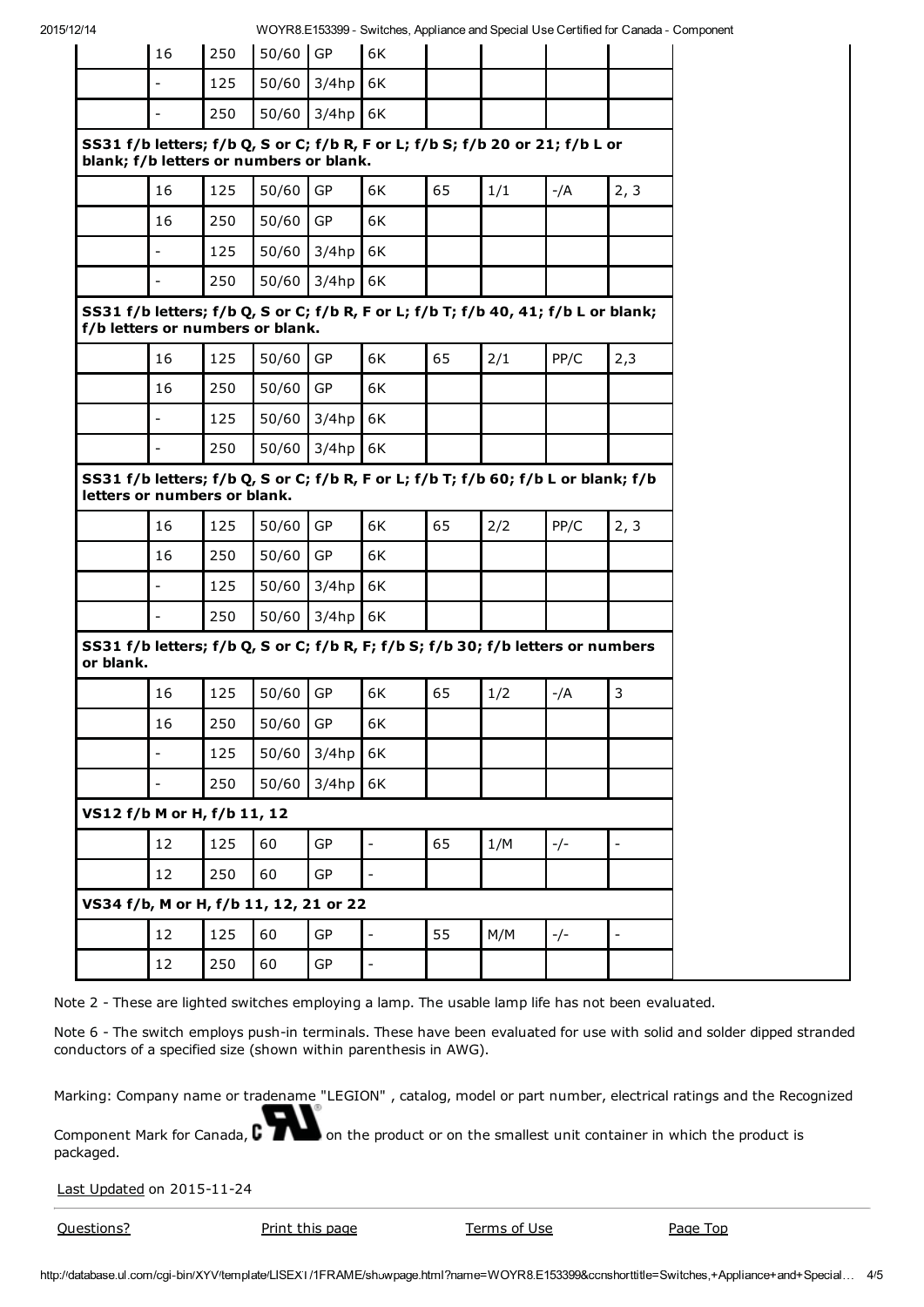|           |                                         |     |            |          |                                                                                    |    |     |       | $\sim$ . The recover $\sim$ of the recovery population and operate over three for our later. |
|-----------|-----------------------------------------|-----|------------|----------|------------------------------------------------------------------------------------|----|-----|-------|----------------------------------------------------------------------------------------------|
|           | 16                                      | 250 | $50/60$ GP |          | 6K                                                                                 |    |     |       |                                                                                              |
|           | $\overline{\phantom{0}}$                | 125 | 50/60      | 3/4hp    | 6K                                                                                 |    |     |       |                                                                                              |
|           | $\overline{\phantom{0}}$                | 250 | 50/60      | $3/4$ hp | 6K                                                                                 |    |     |       |                                                                                              |
|           | blank; f/b letters or numbers or blank. |     |            |          | SS31 f/b letters; f/b Q, S or C; f/b R, F or L; f/b S; f/b 20 or 21; f/b L or      |    |     |       |                                                                                              |
|           | 16                                      | 125 | 50/60      | GP       | 6K                                                                                 | 65 | 1/1 | -/A   | 2, 3                                                                                         |
|           | 16                                      | 250 | 50/60      | GP       | 6K                                                                                 |    |     |       |                                                                                              |
|           | $\overline{\phantom{0}}$                | 125 | 50/60      | $3/4$ hp | 6K                                                                                 |    |     |       |                                                                                              |
|           | $\overline{\phantom{0}}$                | 250 | 50/60      | $3/4$ hp | 6K                                                                                 |    |     |       |                                                                                              |
|           | f/b letters or numbers or blank.        |     |            |          | SS31 f/b letters; f/b Q, S or C; f/b R, F or L; f/b T; f/b 40, 41; f/b L or blank; |    |     |       |                                                                                              |
|           | 16                                      | 125 | 50/60      | GP       | 6K                                                                                 | 65 | 2/1 | PP/C  | 2,3                                                                                          |
|           | 16                                      | 250 | 50/60      | GP       | 6K                                                                                 |    |     |       |                                                                                              |
|           | $\overline{\phantom{0}}$                | 125 | 50/60      | 3/4hp    | 6K                                                                                 |    |     |       |                                                                                              |
|           | $\overline{\phantom{0}}$                | 250 | 50/60      | $3/4$ hp | 6K                                                                                 |    |     |       |                                                                                              |
|           | letters or numbers or blank.            |     |            |          | SS31 f/b letters; f/b Q, S or C; f/b R, F or L; f/b T; f/b 60; f/b L or blank; f/b |    |     |       |                                                                                              |
|           | 16                                      | 125 | 50/60      | GP       | 6K                                                                                 | 65 | 2/2 | PP/C  | 2, 3                                                                                         |
|           | 16                                      | 250 | 50/60      | GP       | 6K                                                                                 |    |     |       |                                                                                              |
|           | $\overline{\phantom{0}}$                | 125 | 50/60      | 3/4hp    | 6K                                                                                 |    |     |       |                                                                                              |
|           | $\overline{\phantom{0}}$                | 250 | 50/60      | $3/4$ hp | 6K                                                                                 |    |     |       |                                                                                              |
| or blank. |                                         |     |            |          | SS31 f/b letters; f/b Q, S or C; f/b R, F; f/b S; f/b 30; f/b letters or numbers   |    |     |       |                                                                                              |
|           | 16                                      | 125 | 50/60      | GP       | 6K                                                                                 | 65 | 1/2 | $-/A$ | 3                                                                                            |
|           | 16                                      | 250 | 50/60 GP   |          | 6K                                                                                 |    |     |       |                                                                                              |
|           | $\frac{1}{2}$                           | 125 | 50/60      | 3/4hp    | 6K                                                                                 |    |     |       |                                                                                              |
|           | $\overline{\phantom{a}}$                | 250 | 50/60      | 3/4hp    | 6K                                                                                 |    |     |       |                                                                                              |
|           | VS12 f/b M or H, f/b 11, 12             |     |            |          |                                                                                    |    |     |       |                                                                                              |
|           | 12                                      | 125 | 60         | GP       | $\overline{\phantom{a}}$                                                           | 65 | 1/M | $-/-$ | $\overline{\phantom{a}}$                                                                     |
|           | 12                                      | 250 | 60         | GP       | $\overline{\phantom{a}}$                                                           |    |     |       |                                                                                              |
|           | VS34 f/b, M or H, f/b 11, 12, 21 or 22  |     |            |          |                                                                                    |    |     |       |                                                                                              |
|           | 12                                      | 125 | 60         | GP       | $\overline{a}$                                                                     | 55 | M/M | $-/-$ | $\Box$                                                                                       |
|           | 12                                      | 250 | 60         | GP       | $\overline{\phantom{a}}$                                                           |    |     |       |                                                                                              |
|           |                                         |     |            |          |                                                                                    |    |     |       |                                                                                              |

Note 2 - These are lighted switches employing a lamp. The usable lamp life has not been evaluated.

Note 6 - The switch employs push-in terminals. These have been evaluated for use with solid and solder dipped stranded conductors of a specified size (shown within parenthesis in AWG).

Marking: Company name or tradename "LEGION" , catalog, model or part number, electrical ratings and the Recognized

Component Mark for Canada,  $\binom{2}{1}$  on the product or on the smallest unit container in which the product is packaged.

Last Updated on 2015-11-24

**Questions?** Print this page Terms of Use Page Top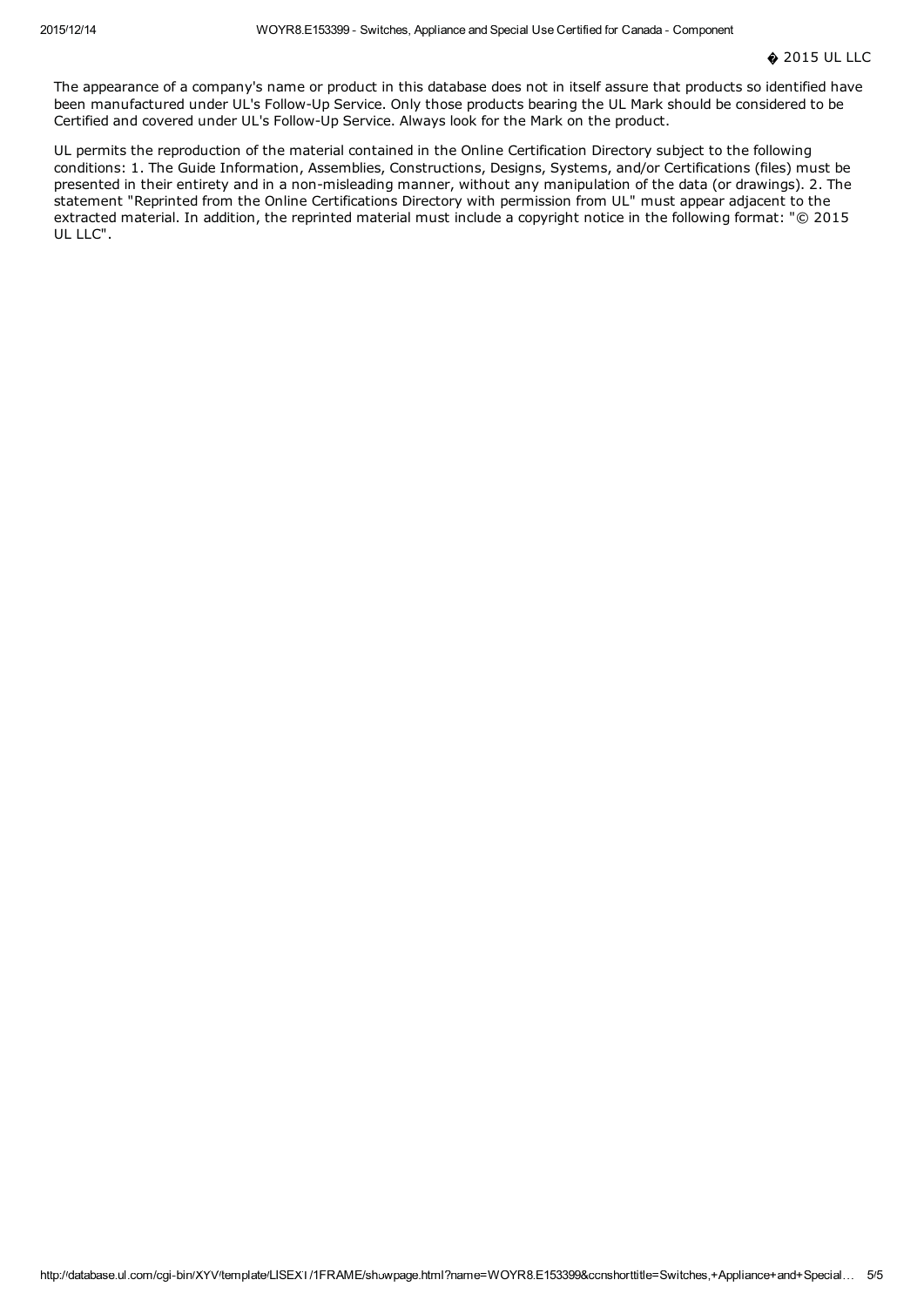The appearance of a company's name or product in this database does not in itself assure that products so identified have been manufactured under UL's Follow-Up Service. Only those products bearing the UL Mark should be considered to be Certified and covered under UL's Follow-Up Service. Always look for the Mark on the product.

UL permits the reproduction of the material contained in the Online Certification Directory subject to the following conditions: 1. The Guide Information, Assemblies, Constructions, Designs, Systems, and/or Certifications (files) must be presented in their entirety and in a non-misleading manner, without any manipulation of the data (or drawings). 2. The statement "Reprinted from the Online Certifications Directory with permission from UL" must appear adjacent to the extracted material. In addition, the reprinted material must include a copyright notice in the following format: "© 2015 UL LLC".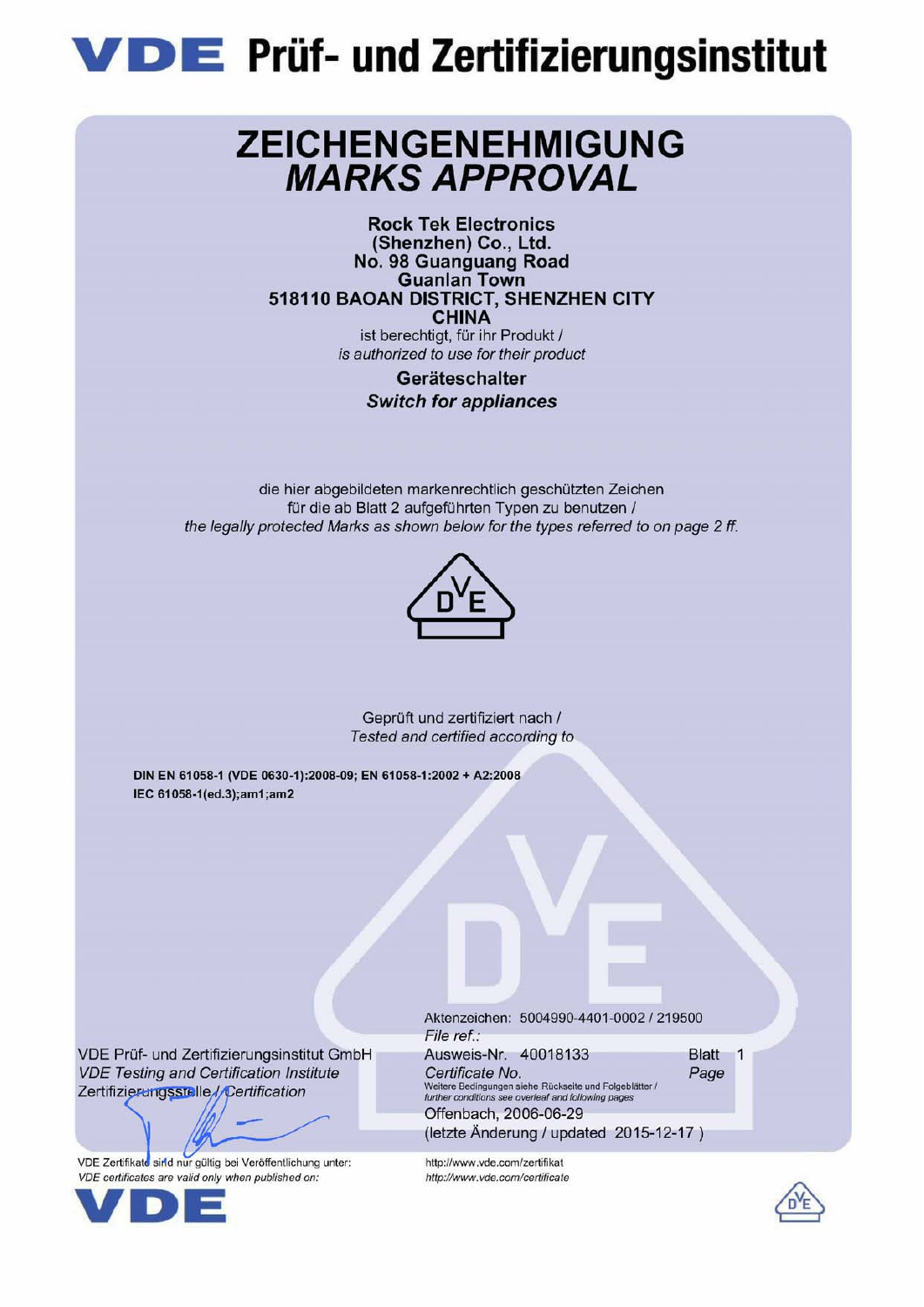

## ZEICHENGENEHMIGUNG **MARKS APPROVAL**

**Rock Tek Electronics** (Shenzhen) Co., Ltd. No. 98 Guanguang Road **Guanlan Town** 518110 BAOAN DISTRICT, SHENZHEN CITY **CHINA** ist berechtigt, für ihr Produkt / is authorized to use for their product

### Geräteschalter **Switch for appliances**

die hier abgebildeten markenrechtlich geschützten Zeichen für die ab Blatt 2 aufgeführten Typen zu benutzen / the legally protected Marks as shown below for the types referred to on page 2 ff.



Geprüft und zertifiziert nach / Tested and certified according to

DIN EN 61058-1 (VDE 0630-1):2008-09; EN 61058-1:2002 + A2:2008 IEC 61058-1(ed.3);am1;am2

VDE Prüf- und Zertifizierungsinstitut GmbH **VDE Testing and Certification Institute** Zertifizierungsstelle//Certification

VDE Zertifikate sind nur gültig bei Veröffentlichung unter: VDE certificates are valid only when published on:



Aktenzeichen: 5004990-4401-0002 / 219500 File ref.: Ausweis-Nr. 40018133 Certificate No. Page Weitere Bedingungen siehe Rückseite und Folgeblätter /<br>further conditions see overleaf and following pages

(letzte Änderung / updated 2015-12-17)

Offenbach, 2006-06-29

http://www.vde.com/zertifikat

http://www.vde.com/certificate

Blatt 1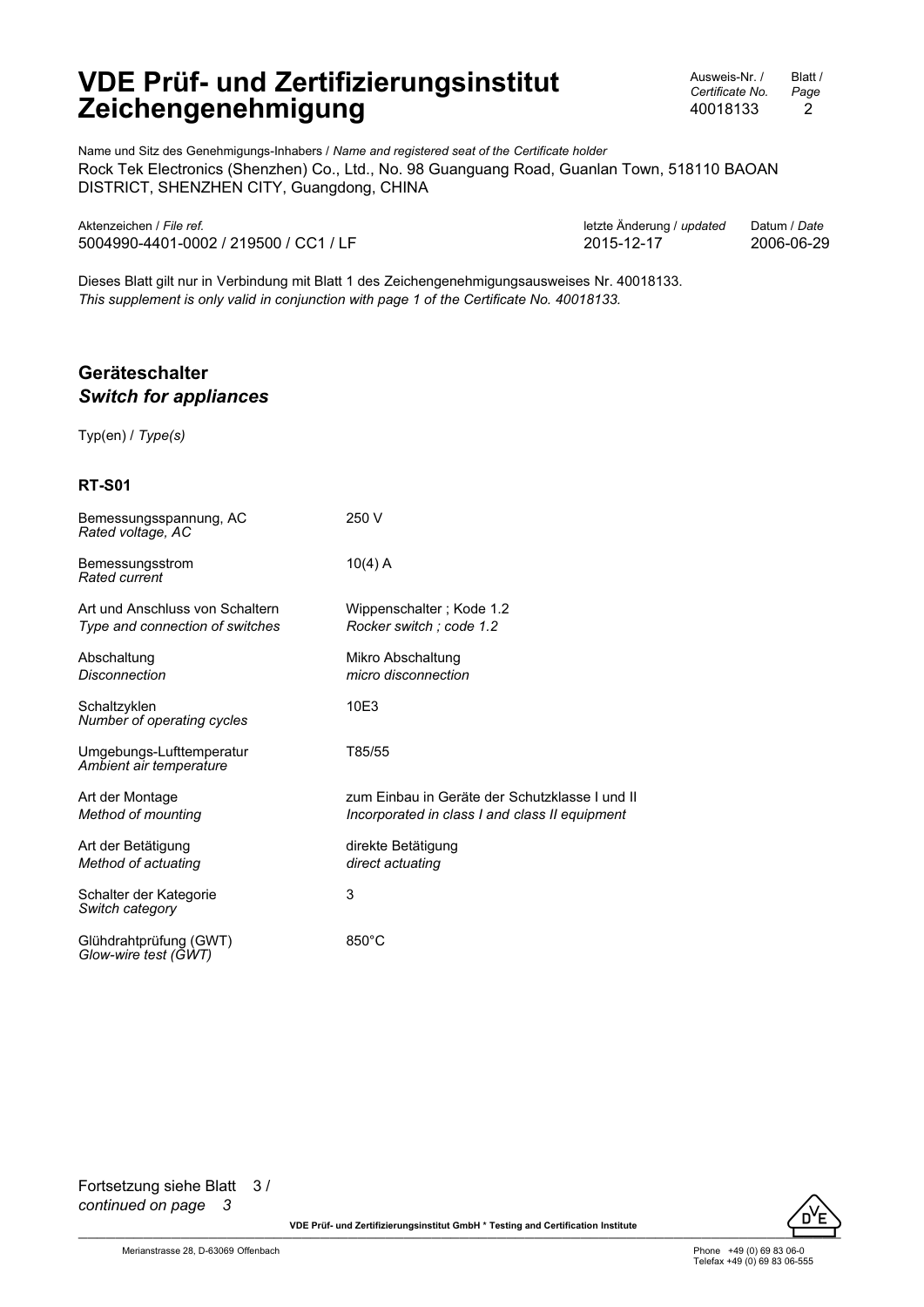Ausweis-Nr. / *Certificate No.* 40018133 Blatt / *Page* 2

Name und Sitz des Genehmigungs-Inhabers / *Name and registered seat of the Certificate holder* Rock Tek Electronics (Shenzhen) Co., Ltd., No. 98 Guanguang Road, Guanlan Town, 518110 BAOAN DISTRICT, SHENZHEN CITY, Guangdong, CHINA

| Aktenzeichen / File ref.              | letzte Änderung / updated  Datum / Date |            |
|---------------------------------------|-----------------------------------------|------------|
| 5004990-4401-0002 / 219500 / CC1 / LF | 2015-12-17                              | 2006-06-29 |

Aktenzeichen / *File ref.* letzte Änderung / *updated* Datum / *Date*

Dieses Blatt gilt nur in Verbindung mit Blatt 1 des Zeichengenehmigungsausweises Nr. 40018133. *This supplement is only valid in conjunction with page 1 of the Certificate No. 40018133.*

#### **Geräteschalter** *Switch for appliances*

Typ(en) / *Type(s)*

#### **RT-S01**

| Bemessungsspannung, AC<br>Rated voltage, AC                        | 250 V                                                                                            |
|--------------------------------------------------------------------|--------------------------------------------------------------------------------------------------|
| Bemessungsstrom<br>Rated current                                   | $10(4)$ A                                                                                        |
| Art und Anschluss von Schaltern<br>Type and connection of switches | Wippenschalter; Kode 1.2<br>Rocker switch ; code 1.2                                             |
| Abschaltung<br>Disconnection                                       | Mikro Abschaltung<br>micro disconnection                                                         |
| Schaltzyklen<br>Number of operating cycles                         | 10E3                                                                                             |
| Umgebungs-Lufttemperatur<br>Ambient air temperature                | T85/55                                                                                           |
| Art der Montage<br>Method of mounting                              | zum Einbau in Geräte der Schutzklasse I und II<br>Incorporated in class I and class II equipment |
| Art der Betätigung<br>Method of actuating                          | direkte Betätigung<br>direct actuating                                                           |
| Schalter der Kategorie<br>Switch category                          | 3                                                                                                |
| Glühdrahtprüfung (GWT)<br>Glow-wire test (GWT)                     | $850^{\circ}$ C                                                                                  |



VDE Prüf- und Zertifizierungsinstitut GmbH \* Testing and Certification Institute **And American Contact Contact Contact Contact Contact Contact Contact Contact Contact Contact Contact Contact Contact Contact Contact Contac**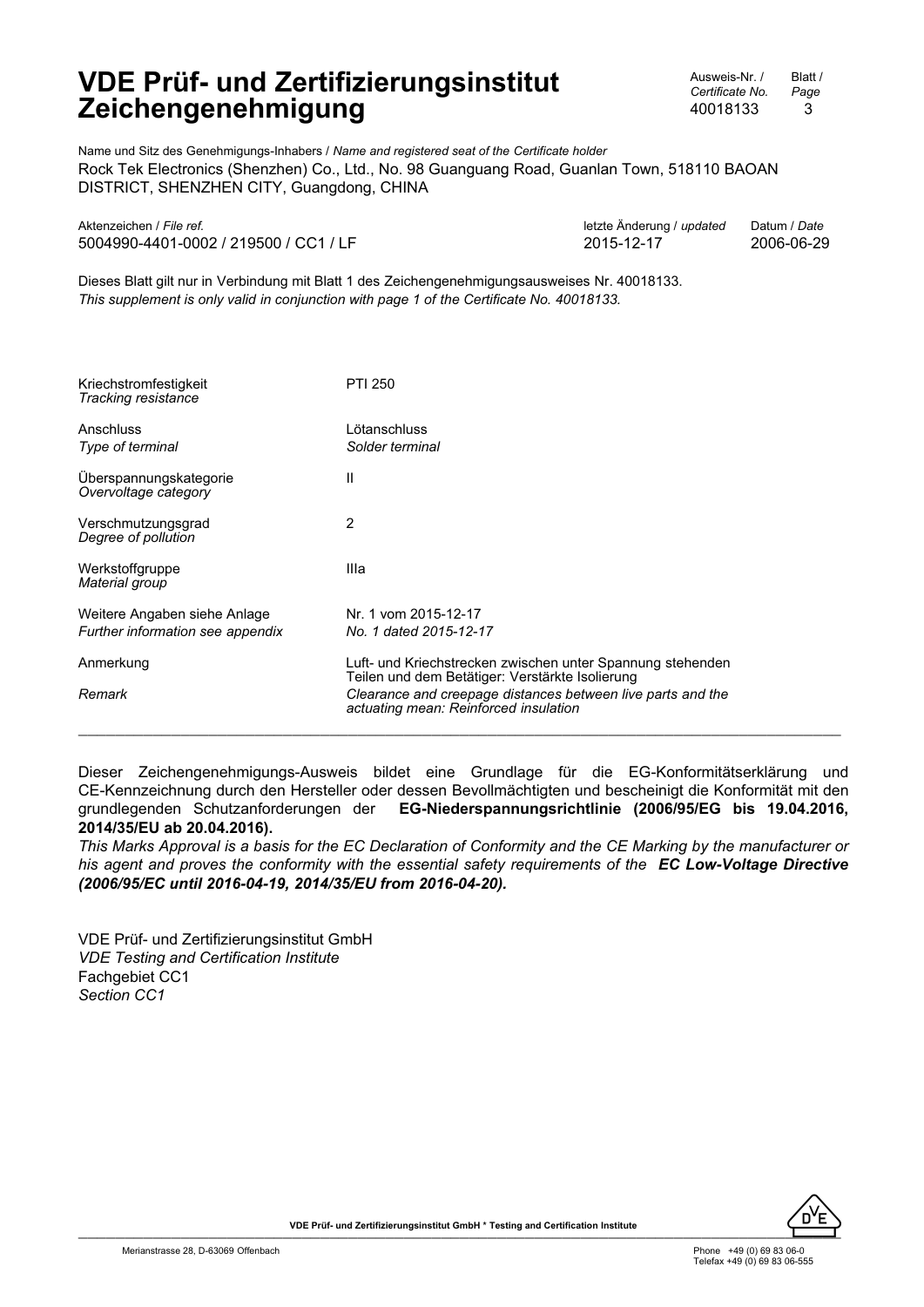Ausweis-Nr. / *Certificate No.* 40018133 Blatt / *Page* 3

Name und Sitz des Genehmigungs-Inhabers / *Name and registered seat of the Certificate holder* Rock Tek Electronics (Shenzhen) Co., Ltd., No. 98 Guanguang Road, Guanlan Town, 518110 BAOAN DISTRICT, SHENZHEN CITY, Guangdong, CHINA

| Aktenzeichen / File ref.              | letzte Änderung / updated Datum / Date |            |
|---------------------------------------|----------------------------------------|------------|
| 5004990-4401-0002 / 219500 / CC1 / LF | 2015-12-17                             | 2006-06-29 |

Dieses Blatt gilt nur in Verbindung mit Blatt 1 des Zeichengenehmigungsausweises Nr. 40018133. *This supplement is only valid in conjunction with page 1 of the Certificate No. 40018133.*

| Kriechstromfestigkeit<br>Tracking resistance   | <b>PTI 250</b>                                                                                                |
|------------------------------------------------|---------------------------------------------------------------------------------------------------------------|
| Anschluss<br>Type of terminal                  | Lötanschluss<br>Solder terminal                                                                               |
| Uberspannungskategorie<br>Overvoltage category | Ш                                                                                                             |
| Verschmutzungsgrad<br>Degree of pollution      | 2                                                                                                             |
| Werkstoffgruppe<br>Material group              | Illa                                                                                                          |
| Weitere Angaben siehe Anlage                   | Nr. 1 vom 2015-12-17                                                                                          |
| Further information see appendix               | No. 1 dated 2015-12-17                                                                                        |
| Anmerkung                                      | Luft- und Kriechstrecken zwischen unter Spannung stehenden<br>Teilen und dem Betätiger: Verstärkte Isolierung |
| Remark                                         | Clearance and creepage distances between live parts and the<br>actuating mean: Reinforced insulation          |

Dieser Zeichengenehmigungs-Ausweis bildet eine Grundlage für die EG-Konformitätserklärung und CE-Kennzeichnung durch den Hersteller oder dessen Bevollmächtigten und bescheinigt die Konformität mit den grundlegenden Schutzanforderungen der **EG-Niederspannungsrichtlinie (2006/95/EG bis 19.04.2016, 2014/35/EU ab 20.04.2016).**

*This Marks Approval is a basis for the EC Declaration of Conformity and the CE Marking by the manufacturer or his agent and proves the conformity with the essential safety requirements of the EC Low-Voltage Directive (2006/95/EC until 2016-04-19, 2014/35/EU from 2016-04-20).*

VDE Prüf- und Zertifizierungsinstitut GmbH *VDE Testing and Certification Institute* Fachgebiet CC1 *Section CC1*

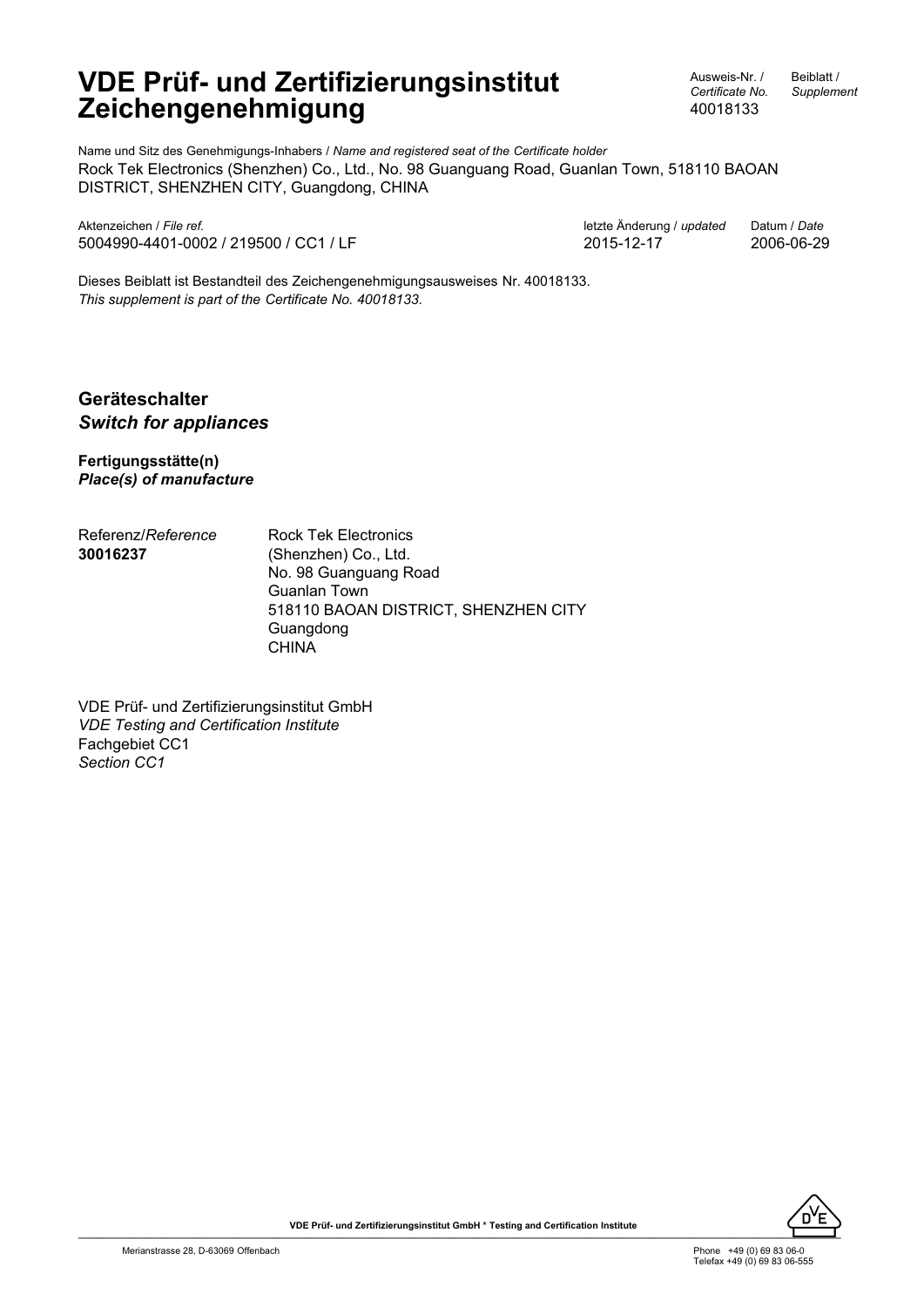Ausweis-Nr. / *Certificate No.* 40018133

Beiblatt / *Supplement*

Name und Sitz des Genehmigungs-Inhabers / *Name and registered seat of the Certificate holder* Rock Tek Electronics (Shenzhen) Co., Ltd., No. 98 Guanguang Road, Guanlan Town, 518110 BAOAN DISTRICT, SHENZHEN CITY, Guangdong, CHINA

Aktenzeichen / *File ref.* letzte Änderung / *updated* Datum / *Date* 5004990-4401-0002 / 219500 / CC1 / LF 2015-12-17 2006-06-29

Dieses Beiblatt ist Bestandteil des Zeichengenehmigungsausweises Nr. 40018133. *This supplement is part of the Certificate No. 40018133.*

#### **Geräteschalter** *Switch for appliances*

**Fertigungsstätte(n)** *Place(s) of manufacture*

Referenz/*Reference* **30016237** Rock Tek Electronics (Shenzhen) Co., Ltd. No. 98 Guanguang Road Guanlan Town 518110 BAOAN DISTRICT, SHENZHEN CITY Guangdong **CHINA** 

VDE Prüf- und Zertifizierungsinstitut GmbH *VDE Testing and Certification Institute* Fachgebiet CC1 *Section CC1*

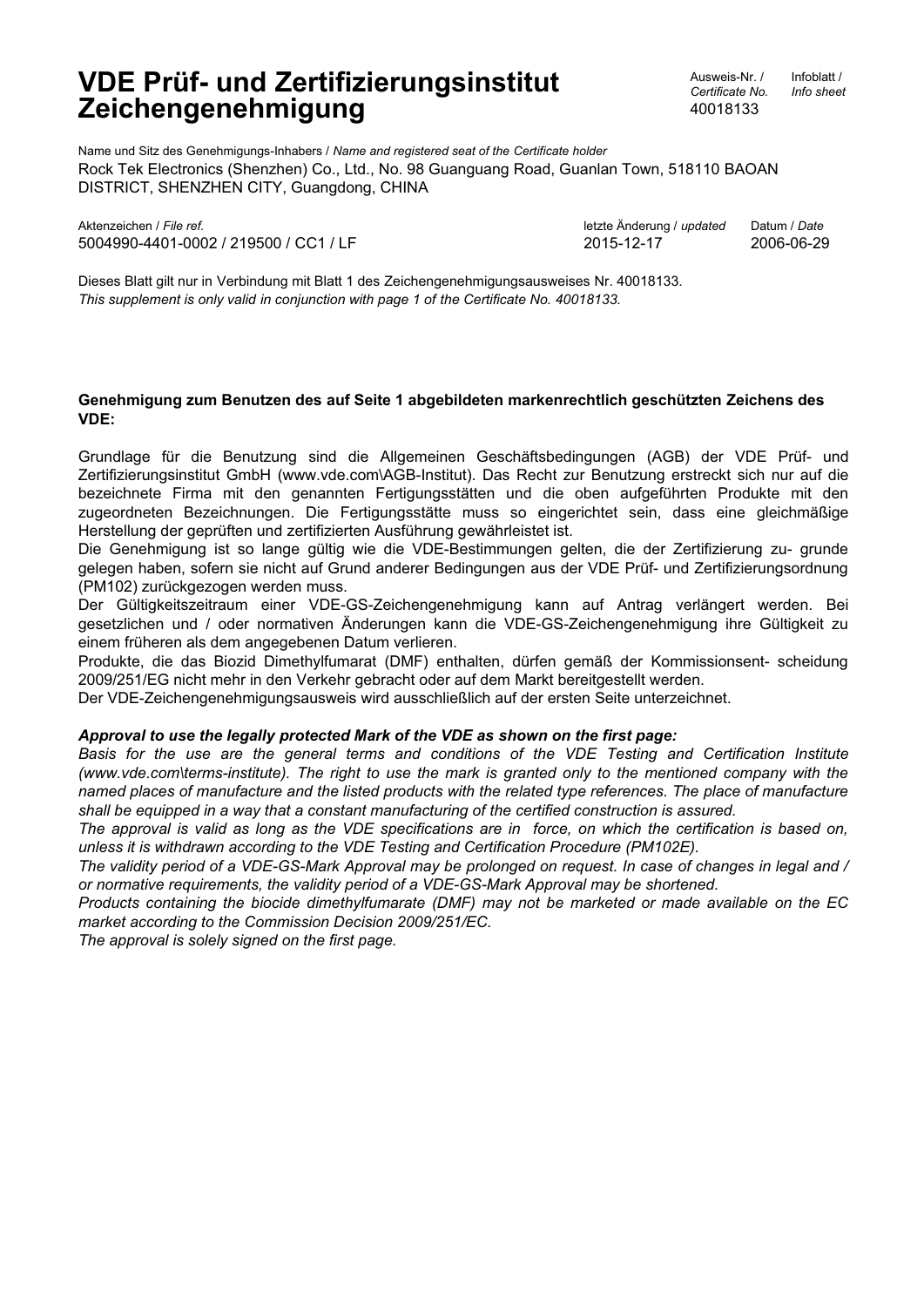Ausweis-Nr. / *Certificate No.* 40018133

Infoblatt / *Info sheet*

Name und Sitz des Genehmigungs-Inhabers / *Name and registered seat of the Certificate holder* Rock Tek Electronics (Shenzhen) Co., Ltd., No. 98 Guanguang Road, Guanlan Town, 518110 BAOAN DISTRICT, SHENZHEN CITY, Guangdong, CHINA

Aktenzeichen / *File ref.* letzte Änderung / *updated* Datum / *Date* 5004990-4401-0002 / 219500 / CC1 / LF 2015-12-17 2006-06-29

Dieses Blatt gilt nur in Verbindung mit Blatt 1 des Zeichengenehmigungsausweises Nr. 40018133. *This supplement is only valid in conjunction with page 1 of the Certificate No. 40018133.*

#### **Genehmigung zum Benutzen des auf Seite 1 abgebildeten markenrechtlich geschützten Zeichens des VDE:**

Grundlage für die Benutzung sind die Allgemeinen Geschäftsbedingungen (AGB) der VDE Prüf- und Zertifizierungsinstitut GmbH (www.vde.com\AGB-Institut). Das Recht zur Benutzung erstreckt sich nur auf die bezeichnete Firma mit den genannten Fertigungsstätten und die oben aufgeführten Produkte mit den zugeordneten Bezeichnungen. Die Fertigungsstätte muss so eingerichtet sein, dass eine gleichmäßige Herstellung der geprüften und zertifizierten Ausführung gewährleistet ist.

Die Genehmigung ist so lange gültig wie die VDE-Bestimmungen gelten, die der Zertifizierung zu- grunde gelegen haben, sofern sie nicht auf Grund anderer Bedingungen aus der VDE Prüf- und Zertifizierungsordnung (PM102) zurückgezogen werden muss.

Der Gültigkeitszeitraum einer VDE-GS-Zeichengenehmigung kann auf Antrag verlängert werden. Bei gesetzlichen und / oder normativen Änderungen kann die VDE-GS-Zeichengenehmigung ihre Gültigkeit zu einem früheren als dem angegebenen Datum verlieren.

Produkte, die das Biozid Dimethylfumarat (DMF) enthalten, dürfen gemäß der Kommissionsent- scheidung 2009/251/EG nicht mehr in den Verkehr gebracht oder auf dem Markt bereitgestellt werden.

Der VDE-Zeichengenehmigungsausweis wird ausschließlich auf der ersten Seite unterzeichnet.

#### *Approval to use the legally protected Mark of the VDE as shown on the first page:*

*Basis for the use are the general terms and conditions of the VDE Testing and Certification Institute (www.vde.com\terms-institute). The right to use the mark is granted only to the mentioned company with the named places of manufacture and the listed products with the related type references. The place of manufacture shall be equipped in a way that a constant manufacturing of the certified construction is assured.*

*The approval is valid as long as the VDE specifications are in force, on which the certification is based on, unless it is withdrawn according to the VDE Testing and Certification Procedure (PM102E).*

*The validity period of a VDE-GS-Mark Approval may be prolonged on request. In case of changes in legal and / or normative requirements, the validity period of a VDE-GS-Mark Approval may be shortened.*

*Products containing the biocide dimethylfumarate (DMF) may not be marketed or made available on the EC market according to the Commission Decision 2009/251/EC.*

*The approval is solely signed on the first page.*